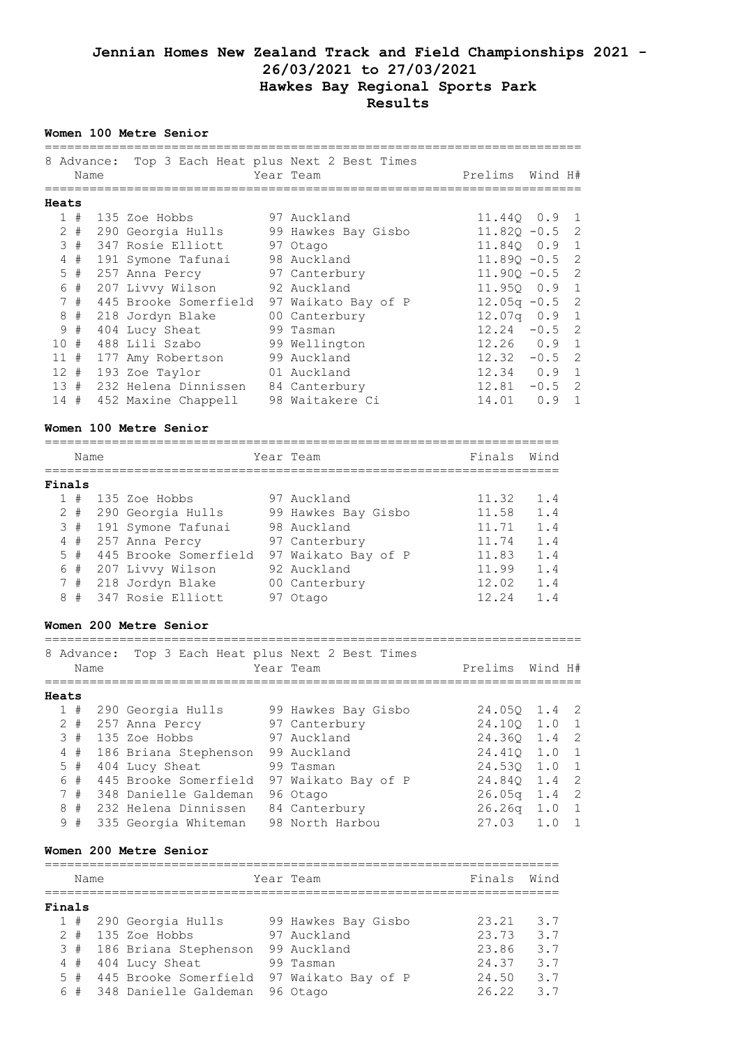# **Jennian Homes New Zealand Track and Field Championships 2021 - 26/03/2021 to 27/03/2021 Hawkes Bay Regional Sports Park Results**

# **Women 100 Metre Senior**

|       |     | Name  | 8 Advance: Top 3 Each Heat plus Next 2 Best Times | Year Team           | Prelims Wind H#  |     |                |
|-------|-----|-------|---------------------------------------------------|---------------------|------------------|-----|----------------|
| Heats |     |       |                                                   |                     |                  |     |                |
|       |     | 1#    | 135 Zoe Hobbs 97 Auckland                         |                     | 11.440 0.9 1     |     |                |
|       |     |       | 2 # 290 Georgia Hulls                             | 99 Hawkes Bay Gisbo | $11.820 - 0.5$ 2 |     |                |
|       |     | 3#    | 347 Rosie Elliott                                 | 97 Otago            | 11.840 0.9 1     |     |                |
|       |     | 4#    | 191 Symone Tafunai                                | 98 Auckland         | $11.890 - 0.5$ 2 |     |                |
|       |     | $5$ # | 257 Anna Percy                                    | 97 Canterbury       | $11.900 - 0.5$ 2 |     |                |
|       |     | 6 #   | 207 Livvy Wilson                                  | 92 Auckland         | 11.950 0.9 1     |     |                |
|       |     | 7#    | 445 Brooke Somerfield                             | 97 Waikato Bay of P | $12.05q - 0.5$ 2 |     |                |
|       | 8   | #     | 218 Jordyn Blake                                  | 00 Canterbury       | $12.07q$ 0.9 1   |     |                |
|       | 9   | #     | 404 Lucy Sheat                                    | 99 Tasman           | $12.24 - 0.5$ 2  |     |                |
|       | 10# |       | 488 Lili Szabo                                    | 99 Wellington       | $12.26$ 0.9 1    |     |                |
|       | 11# |       | 177 Amy Robertson                                 | 99 Auckland         | $12.32 - 0.5$ 2  |     |                |
|       |     | 12#   | 193 Zoe Taylor                                    | 01 Auckland         | $12.34$ 0.9 1    |     |                |
|       |     |       | 13 # 232 Helena Dinnissen                         | 84 Canterbury       | $12.81 - 0.5$ 2  |     |                |
|       |     |       | 14 # 452 Maxine Chappell                          | 98 Waitakere Ci     | 14.01            | 0.9 | $\overline{1}$ |

### **Women 100 Metre Senior**

|        | Name  |  | Year Team             |  | Finals              | Wind  |            |
|--------|-------|--|-----------------------|--|---------------------|-------|------------|
| Finals |       |  |                       |  |                     |       |            |
|        | #     |  | 135 Zoe Hobbs         |  | 97 Auckland         | 11.32 | 1.4        |
|        | $2 +$ |  | 290 Georgia Hulls     |  | 99 Hawkes Bay Gisbo | 11.58 | 1.4        |
|        | 3#    |  | 191 Symone Tafunai    |  | 98 Auckland         | 11.71 | 1.4        |
|        | 4#    |  | 257 Anna Percy        |  | 97 Canterbury       | 11.74 | 1.4        |
|        | 5#    |  | 445 Brooke Somerfield |  | 97 Waikato Bay of P | 11.83 | 1.4        |
|        | 6#    |  | 207 Livvy Wilson      |  | 92 Auckland         | 11.99 | 1.4        |
|        | 7#    |  | 218 Jordyn Blake      |  | 00 Canterbury       | 12.02 | 1.4        |
| 8      | #     |  | 347 Rosie Elliott     |  | 97 Otago            | 12 24 | $1\quad 4$ |

## **Women 200 Metre Senior**

|       |    | Name  | 8 Advance: |                       | Top 3 Each Heat plus Next 2 Best Times<br>Year Team | Prelims Wind H# |     |                |
|-------|----|-------|------------|-----------------------|-----------------------------------------------------|-----------------|-----|----------------|
| Heats |    |       |            |                       |                                                     |                 |     |                |
|       |    | 1#    |            | 290 Georgia Hulls     | 99 Hawkes Bay Gisbo                                 | 24.050 1.4 2    |     |                |
|       |    | $2 +$ |            | 257 Anna Percy        | 97 Canterbury                                       | 24.100 1.0      |     | $\overline{1}$ |
|       |    | 3#    |            | 135 Zoe Hobbs         | 97 Auckland                                         | 24.360 1.4 2    |     |                |
|       |    | 4#    |            | 186 Briana Stephenson | 99 Auckland                                         | 24.410 1.0      |     |                |
|       |    | 5#    |            | 404 Lucy Sheat        | 99 Tasman                                           | 24.530 1.0      |     | $\overline{1}$ |
|       |    | 6#    |            | 445 Brooke Somerfield | 97 Waikato Bay of P                                 | 24.840 1.4 2    |     |                |
|       | 7# |       |            | 348 Danielle Galdeman | 96 Otago                                            | $26.05q$ 1.4 2  |     |                |
|       | 8  | $+$   |            | 232 Helena Dinnissen  | 84 Canterbury                                       | 26.26q          | 1.0 | $\overline{1}$ |
|       | 9# |       |            | 335 Georgia Whiteman  | 98 North Harbou                                     | 27.03           | 1.0 |                |

========================================================================

### **Women 200 Metre Senior**

|        | Name  |                           | Year Team           | Finals | Wind |
|--------|-------|---------------------------|---------------------|--------|------|
| Finals |       |                           |                     |        |      |
|        |       | 1 # 290 Georgia Hulls     | 99 Hawkes Bay Gisbo | 23.21  | 3.7  |
|        | $2 +$ | 135 Zoe Hobbs             | 97 Auckland         | 23.73  | 3.7  |
|        |       | 3 # 186 Briana Stephenson | 99 Auckland         | 23.86  | 3.7  |
|        | 4#    | 404 Lucy Sheat            | 99 Tasman           | 24.37  | 3.7  |
|        | 5#    | 445 Brooke Somerfield     | 97 Waikato Bay of P | 24.50  | 3.7  |
|        | 6#    | 348 Danielle Galdeman     | 96 Otago            | 26.22  | 37   |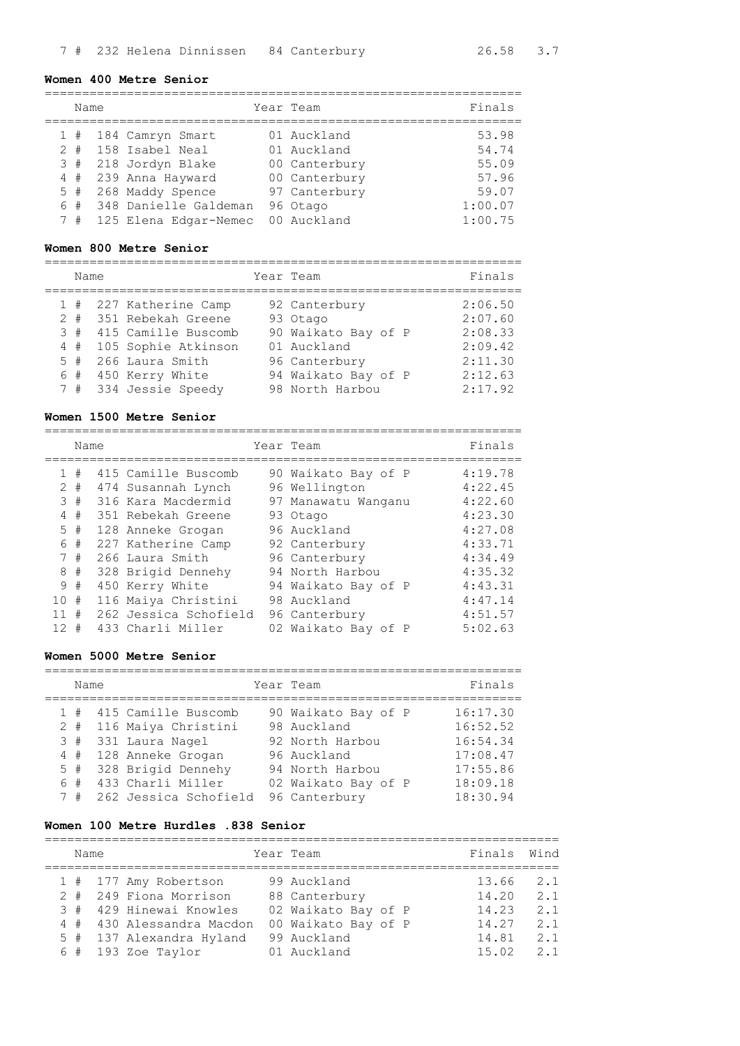#### **Women 400 Metre Senior**

| Name |  |                      |  |  | Year Team     | Finals |  |  |  |  |
|------|--|----------------------|--|--|---------------|--------|--|--|--|--|
|      |  |                      |  |  |               |        |  |  |  |  |
|      |  | 1 # 184 Camryn Smart |  |  | 01 Auckland   | 53.98  |  |  |  |  |
|      |  | 2 # 158 Isabel Neal  |  |  | 01 Auckland   | 54.74  |  |  |  |  |
|      |  | 3 # 218 Jordyn Blake |  |  | 00 Canterbury | 55.09  |  |  |  |  |

 4 # 239 Anna Hayward 00 Canterbury 57.96 5 # 268 Maddy Spence 97 Canterbury 59.07 6 # 348 Danielle Galdeman 96 Otago 1:00.07 7 # 125 Elena Edgar-Nemec 00 Auckland 1:00.75

### **Women 800 Metre Senior**

================================================================ Name Year Team Finals ================================================================ 1 # 227 Katherine Camp 92 Canterbury 2:06.50 2 # 351 Rebekah Greene 93 Otago 2:07.60 3 # 415 Camille Buscomb 90 Waikato Bay of P 2:08.33 4 # 105 Sophie Atkinson 01 Auckland 2:09.42 5 # 266 Laura Smith 96 Canterbury 2:11.30 6 # 450 Kerry White 94 Waikato Bay of P 2:12.63 7 # 334 Jessie Speedy 98 North Harbou 2:17.92

#### **Women 1500 Metre Senior**

================================================================

|                 | Name |                       | Year Team           | Finals  |
|-----------------|------|-----------------------|---------------------|---------|
| $\mathbf{1}$    | #    | 415 Camille Buscomb   | 90 Waikato Bay of P | 4:19.78 |
| 2               | #    | 474 Susannah Lynch    | 96 Wellington       | 4:22.45 |
| 3               | #    | 316 Kara Macdermid    | 97 Manawatu Wanganu | 4:22.60 |
| 4               | #    | 351 Rebekah Greene    | 93 Otago            | 4:23.30 |
| 5               | #    | 128 Anneke Grogan     | 96 Auckland         | 4:27.08 |
| 6               | #    | 227 Katherine Camp    | 92 Canterbury       | 4:33.71 |
|                 | 7#   | 266 Laura Smith       | 96 Canterbury       | 4:34.49 |
| 8               | #    | 328 Brigid Dennehy    | 94 North Harbou     | 4:35.32 |
| 9               | #    | 450 Kerry White       | 94 Waikato Bay of P | 4:43.31 |
| 10 <sup>°</sup> | #    | 116 Maiya Christini   | 98 Auckland         | 4:47.14 |
| 11              | #    | 262 Jessica Schofield | 96 Canterbury       | 4:51.57 |
| 12 <sup>°</sup> | #    | 433 Charli Miller     | 02 Waikato Bay of P | 5:02.63 |

#### **Women 5000 Metre Senior**

| Name |                         | Year Team           | Finals   |
|------|-------------------------|---------------------|----------|
| 1#   | 415 Camille Buscomb     | 90 Waikato Bay of P | 16:17.30 |
|      | 2 # 116 Maiya Christini | 98 Auckland         | 16:52.52 |
|      | 3 # 331 Laura Nagel     | 92 North Harbou     | 16:54.34 |
|      | 4 # 128 Anneke Grogan   | 96 Auckland         | 17:08.47 |
| 5#   | 328 Brigid Dennehy      | 94 North Harbou     | 17:55.86 |
|      | 6 # 433 Charli Miller   | 02 Waikato Bay of P | 18:09.18 |
| 7#   | 262 Jessica Schofield   | 96 Canterbury       | 18:30.94 |

#### **Women 100 Metre Hurdles .838 Senior**

| Name |  |                           | Year Team           | Finals | Wind |
|------|--|---------------------------|---------------------|--------|------|
|      |  | 1 # 177 Amy Robertson     | 99 Auckland         | 13.66  | 2.1  |
|      |  | 2 # 249 Fiona Morrison    | 88 Canterbury       | 14.20  | 2.1  |
|      |  | 3 # 429 Hinewai Knowles   | 02 Waikato Bay of P | 14.23  | 2.1  |
|      |  | 4 # 430 Alessandra Macdon | 00 Waikato Bay of P | 14.27  | 2.1  |
|      |  | 5 # 137 Alexandra Hyland  | 99 Auckland         | 14.81  | 2.1  |
|      |  | $6$ # 193 Zoe Taylor      | 01 Auckland         | 15.02  | 2 1  |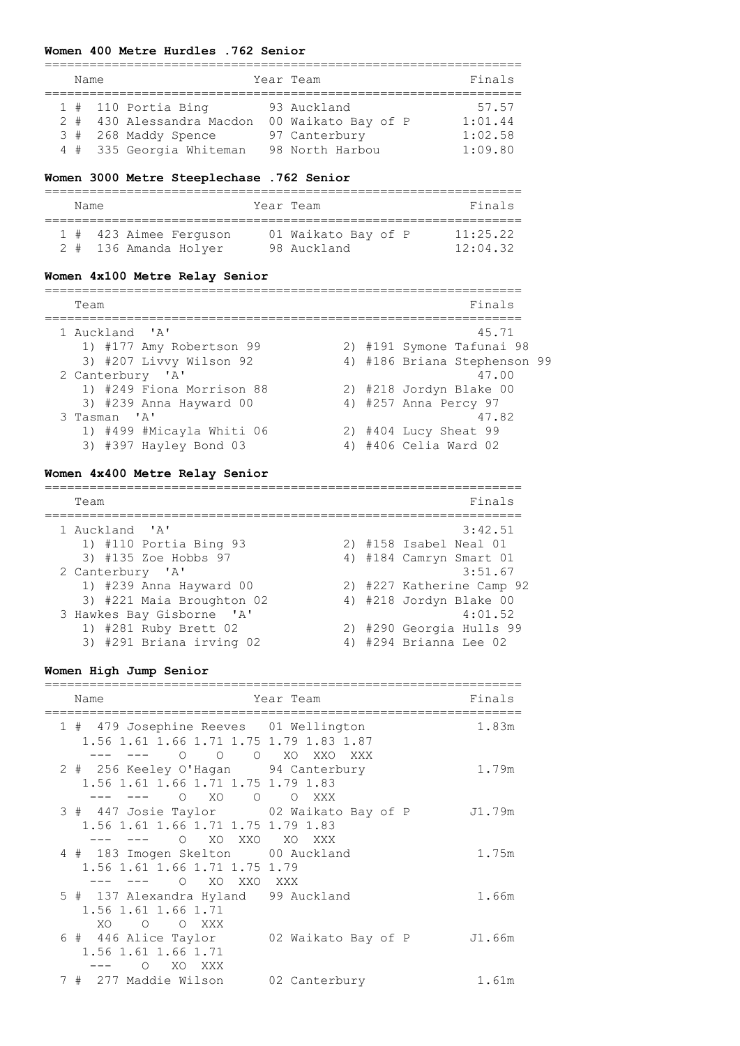### **Women 400 Metre Hurdles .762 Senior**

| Name |  |  |                                                                                                        |  | Year Team                                                              | Finals                                 |  |  |  |  |
|------|--|--|--------------------------------------------------------------------------------------------------------|--|------------------------------------------------------------------------|----------------------------------------|--|--|--|--|
|      |  |  | $1$ # 110 Portia Bing<br>2 # 430 Alessandra Macdon<br>3 # 268 Maddy Spence<br>4 # 335 Georgia Whiteman |  | 93 Auckland<br>00 Waikato Bay of P<br>97 Canterbury<br>98 North Harbou | 57.57<br>1:01.44<br>1:02.58<br>1:09.80 |  |  |  |  |

#### **Women 3000 Metre Steeplechase .762 Senior**

| Name |                        | Year Team           | Finals   |
|------|------------------------|---------------------|----------|
|      | 1 # 423 Aimee Ferguson | 01 Waikato Bay of P | 11:25.22 |
|      | 2 # 136 Amanda Holyer  | 98 Auckland         | 12:04.32 |

### **Women 4x100 Metre Relay Senior**

| Team                      |  | Finals                       |
|---------------------------|--|------------------------------|
| 1 Auckland 'A'            |  | 45.71                        |
| 1) #177 Amy Robertson 99  |  | 2) #191 Symone Tafunai 98    |
| 3) #207 Livvy Wilson 92   |  | 4) #186 Briana Stephenson 99 |
| 2 Canterbury 'A'          |  | 47.00                        |
| 1) #249 Fiona Morrison 88 |  | 2) #218 Jordyn Blake 00      |
| 3) #239 Anna Hayward 00   |  | 4) #257 Anna Percy 97        |
| 3 Tasman 'A'              |  | 47.82                        |
| 1) #499 #Micayla Whiti 06 |  | 2) #404 Lucy Sheat 99        |
| 3) #397 Hayley Bond 03    |  | 4) #406 Celia Ward 02        |

#### **Women 4x400 Metre Relay Senior**

================================================================ Team Finals ================================================================ 1 Auckland 'A' 3:42.51 1) #110 Portia Bing 93 2) #158 Isabel Neal 01 3) #135 Zoe Hobbs 97 4) #184 Camryn Smart 01 2 Canterbury 'A' 3:51.67 1) #239 Anna Hayward 00 2) #227 Katherine Camp 92 3) #221 Maia Broughton 02 4) #218 Jordyn Blake 00 3 Hawkes Bay Gisborne 'A' 4:01.52 1) #281 Ruby Brett 02 2) #290 Georgia Hulls 99 4:01.52<br>3) #291 Briana irving 02 4) #290 Georgia Hulls 99<br>3) #291 Briana irving 02 4) #294 Brian

### **Women High Jump Senior**

| Name                                                                                                            | Year Team        | Finals |
|-----------------------------------------------------------------------------------------------------------------|------------------|--------|
| 1 # 479 Josephine Reeves 01 Wellington<br>1.56 1.61 1.66 1.71 1.75 1.79 1.83 1.87<br>$\circ$ $\circ$<br>--- --- | O XO XXO XXX     | 1.83m  |
| 2 # 256 Keeley O'Hagan 94 Canterbury<br>1.56 1.61 1.66 1.71 1.75 1.79 1.83<br>O XO O                            | $\circ$<br>XXX X | 1.79m  |
| 3 # 447 Josie Taylor 02 Waikato Bay of P<br>1.56 1.61 1.66 1.71 1.75 1.79 1.83                                  |                  | J1.79m |
| O XO XXO XO XXX<br>4 # 183 Imogen Skelton 00 Auckland<br>1.56 1.61 1.66 1.71 1.75 1.79                          |                  | 1.75m  |
| O XO XXO XXX<br>5 # 137 Alexandra Hyland 99 Auckland<br>1.56 1.61 1.66 1.71<br>XO O O XXX                       |                  | 1.66m  |
| 6 # 446 Alice Taylor 02 Waikato Bay of P<br>1.56 1.61 1.66 1.71<br>$\Omega$<br>XO XXX                           |                  | J1.66m |
| 7 # 277 Maddie Wilson                                                                                           | 02 Canterbury    | 1.61m  |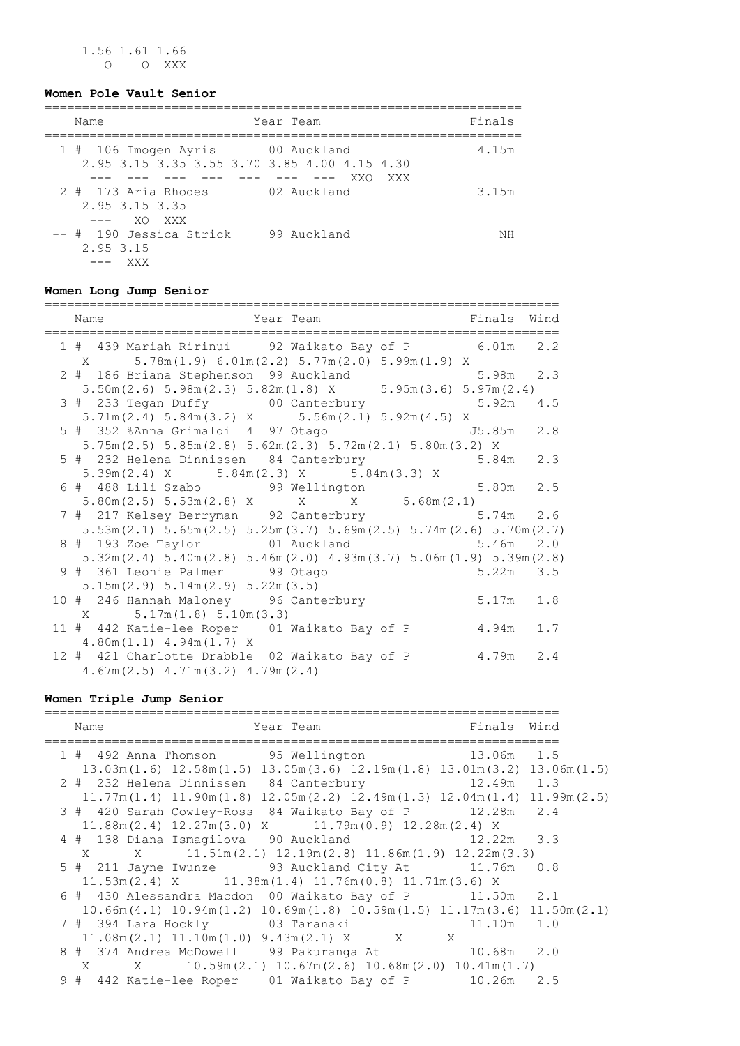1.56 1.61 1.66 O O XXX

### **Women Pole Vault Senior**

| Name                                                                             | Year Team   | Finals |
|----------------------------------------------------------------------------------|-------------|--------|
| 1 # 106 Imogen Ayris 60 Auckland<br>2.95 3.15 3.35 3.55 3.70 3.85 4.00 4.15 4.30 | XXO<br>XXX  | 4.15m  |
| 2 # 173 Aria Rhodes<br>2.95 3.15 3.35<br>XO XXX<br>$---$                         | 02 Auckland | 3.15m  |
| -- # 190 Jessica Strick<br>2.95 3.15<br>XXX X                                    | 99 Auckland | ΝH     |

### **Women Long Jump Senior**

| Name                                                                                                    | Year Team The Book of Tinals Wind |             |               |  |
|---------------------------------------------------------------------------------------------------------|-----------------------------------|-------------|---------------|--|
| 1 # 439 Mariah Ririnui 92 Waikato Bay of P 6.01m 2.2<br>X 5.78m(1.9) 6.01m(2.2) 5.77m(2.0) 5.99m(1.9) X |                                   |             |               |  |
| 2 # 186 Briana Stephenson 99 Auckland                                                                   |                                   |             | $5.98m$ 2.3   |  |
| $5.50m(2.6) 5.98m(2.3) 5.82m(1.8) X$ $5.95m(3.6) 5.97m(2.4)$                                            |                                   |             |               |  |
| 3 # 233 Tegan Duffy 00 Canterbury 5.92m 4.5<br>5.71m(2.4) 5.84m(3.2) X 5.56m(2.1) 5.92m(4.5) X          |                                   |             |               |  |
| 5 # 352 %Anna Grimaldi 4 97 Otago (15.85m 2.8                                                           |                                   |             |               |  |
| $5.75m(2.5)$ $5.85m(2.8)$ $5.62m(2.3)$ $5.72m(2.1)$ $5.80m(3.2)$ X                                      |                                   |             |               |  |
| 5 # 232 Helena Dinnissen 84 Canterbury 5.84m 2.3                                                        |                                   |             |               |  |
| $5.39m(2.4)$ X $5.84m(2.3)$ X $5.84m(3.3)$ X                                                            |                                   |             |               |  |
|                                                                                                         |                                   |             |               |  |
| $5.80m(2.5)$ $5.53m(2.8)$ X X $X$ $5.68m(2.1)$                                                          |                                   |             |               |  |
| 7 # 217 Kelsey Berryman 92 Canterbury 5.74m 2.6                                                         |                                   |             |               |  |
| $5.53$ m $(2.1)$ $5.65$ m $(2.5)$ $5.25$ m $(3.7)$ $5.69$ m $(2.5)$ $5.74$ m $(2.6)$ $5.70$ m $(2.7)$   |                                   |             |               |  |
|                                                                                                         |                                   |             |               |  |
| $5.32$ m $(2.4)$ $5.40$ m $(2.8)$ $5.46$ m $(2.0)$ $4.93$ m $(3.7)$ $5.06$ m $(1.9)$ $5.39$ m $(2.8)$   |                                   |             |               |  |
| 9 # 361 Leonie Palmer 99 Otago                                                                          |                                   |             | $5.22m$ $3.5$ |  |
| $5.15m(2.9)$ $5.14m(2.9)$ $5.22m(3.5)$                                                                  |                                   |             |               |  |
| 10 # 246 Hannah Maloney 96 Canterbury                                                                   |                                   | $5.17m$ 1.8 |               |  |
| $X = 5.17m(1.8) 5.10m(3.3)$                                                                             |                                   |             |               |  |
| 11 # 442 Katie-lee Roper 01 Waikato Bay of P 4.94m 1.7                                                  |                                   |             |               |  |
| $4.80m(1.1)$ $4.94m(1.7)$ X                                                                             |                                   |             |               |  |
| 12 # 421 Charlotte Drabble 02 Waikato Bay of P 4.79m 2.4                                                |                                   |             |               |  |
| $4.67m(2.5)$ $4.71m(3.2)$ $4.79m(2.4)$                                                                  |                                   |             |               |  |

#### **Women Triple Jump Senior**

===================================================================== Name Team Team Team Finals Wind ===================================================================== 1 # 492 Anna Thomson 95 Wellington 13.06m 1.5 13.03m(1.6) 12.58m(1.5) 13.05m(3.6) 12.19m(1.8) 13.01m(3.2) 13.06m(1.5) 2 # 232 Helena Dinnissen 84 Canterbury 12.49m 1.3 11.77m(1.4) 11.90m(1.8) 12.05m(2.2) 12.49m(1.3) 12.04m(1.4) 11.99m(2.5) 3 # 420 Sarah Cowley-Ross 84 Waikato Bay of P 12.28m 2.4 11.88m(2.4) 12.27m(3.0) X 11.79m(0.9) 12.28m(2.4) X 4 # 138 Diana Ismagilova 90 Auckland 12.22m 3.3 X X 11.51m(2.1) 12.19m(2.8) 11.86m(1.9) 12.22m(3.3) 5 # 211 Jayne Iwunze 93 Auckland City At 11.76m 0.8 11.53m(2.4) X 11.38m(1.4) 11.76m(0.8) 11.71m(3.6) X 6 # 430 Alessandra Macdon 00 Waikato Bay of P 11.50m 2.1 10.66m(4.1) 10.94m(1.2) 10.69m(1.8) 10.59m(1.5) 11.17m(3.6) 11.50m(2.1) 7 # 394 Lara Hockly 03 Taranaki 11.10m 1.0<br>11.08m(2.1) 11.10m(1.0) 9.43m(2.1) X X X 11.08m(2.1) 11.10m(1.0) 9.43m(2.1) X X X 8 # 374 Andrea McDowell 99 Pakuranga At 10.68m 2.0 X X 10.59m(2.1) 10.67m(2.6) 10.68m(2.0) 10.41m(1.7) 9 # 442 Katie-lee Roper 01 Waikato Bay of P 10.26m 2.5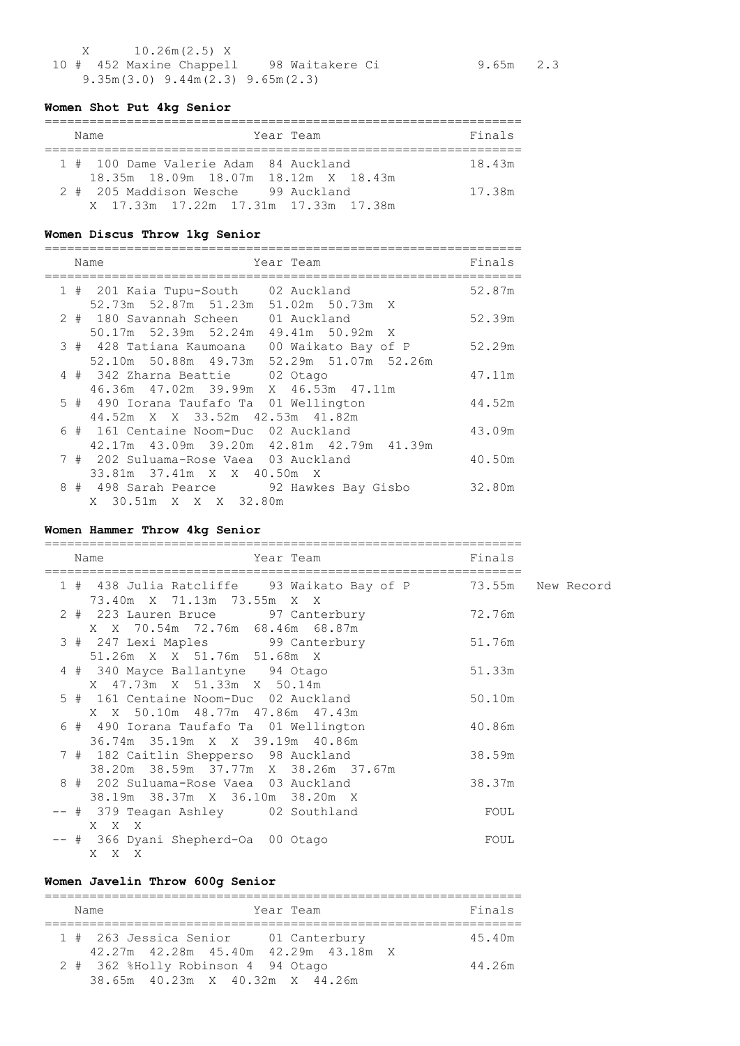X 10.26m(2.5) X 10 # 452 Maxine Chappell 98 Waitakere Ci 9.65m 2.3 9.35m(3.0) 9.44m(2.3) 9.65m(2.3)

## **Women Shot Put 4kg Senior**

| Name                                  | Year Team | Finals |
|---------------------------------------|-----------|--------|
|                                       |           |        |
| 1 # 100 Dame Valerie Adam 84 Auckland |           | 18.43m |
| 18.35m 18.09m 18.07m 18.12m X 18.43m  |           |        |
| 2 # 205 Maddison Wesche 99 Auckland   |           | 17.38m |
| X 17.33m 17.22m 17.31m 17.33m 17.38m  |           |        |

## **Women Discus Throw 1kg Senior**

|  | Name<br>Year Team                              | Finals |
|--|------------------------------------------------|--------|
|  | 1 # 201 Kaia Tupu-South 02 Auckland            | 52.87m |
|  | 52.73m 52.87m 51.23m 51.02m 50.73m X           |        |
|  | 2 # 180 Savannah Scheen<br>01 Auckland         | 52.39m |
|  | 50.17m 52.39m 52.24m 49.41m 50.92m X           |        |
|  | 3 # 428 Tatiana Kaumoana 00 Waikato Bay of P   | 52.29m |
|  | 52.10m 50.88m 49.73m 52.29m 51.07m 52.26m      |        |
|  | 4 # 342 Zharna Beattie 02 Otago                | 47.11m |
|  | 46.36m  47.02m  39.99m  X  46.53m  47.11m      |        |
|  | 5 # 490 Iorana Taufafo Ta 01 Wellington        | 44.52m |
|  | 44.52m X X 33.52m 42.53m 41.82m                |        |
|  | 6 # 161 Centaine Noom-Duc 02 Auckland          | 43.09m |
|  | 42.17m  43.09m  39.20m  42.81m  42.79m  41.39m |        |
|  | 7 # 202 Suluama-Rose Vaea 03 Auckland          | 40.50m |
|  | 33.81m 37.41m X X 40.50m X                     |        |
|  | 8 # 498 Sarah Pearce 92 Hawkes Bay Gisbo       | 32.80m |
|  | X 30.51m X X X 32.80m                          |        |

# **Women Hammer Throw 4kg Senior**

|  | Name<br>Year Team                                                             | Finals |
|--|-------------------------------------------------------------------------------|--------|
|  | 1 # 438 Julia Ratcliffe 93 Waikato Bay of P<br>73.40m X 71.13m 73.55m X X     | 73.55m |
|  | 2 # 223 Lauren Bruce 97 Canterbury<br>X X 70.54m 72.76m 68.46m 68.87m         | 72.76m |
|  | 3 # 247 Lexi Maples 99 Canterbury<br>51.26m X X 51.76m 51.68m X               | 51.76m |
|  | 4 # 340 Mayce Ballantyne 94 Otago<br>X 47.73m X 51.33m X 50.14m               | 51.33m |
|  | 5 # 161 Centaine Noom-Duc 02 Auckland<br>X X 50.10m 48.77m 47.86m 47.43m      | 50.10m |
|  | 6 # 490 Iorana Taufafo Ta 01 Wellington<br>36.74m 35.19m X X 39.19m 40.86m    | 40.86m |
|  | 7 # 182 Caitlin Shepperso 98 Auckland<br>38.20m 38.59m 37.77m X 38.26m 37.67m | 38.59m |
|  | 8 # 202 Suluama-Rose Vaea 03 Auckland<br>38.19m 38.37m X 36.10m 38.20m X      | 38.37m |
|  | -- # 379 Teagan Ashley 02 Southland<br>X X X                                  | FOUL   |
|  | -- # 366 Dyani Shepherd-Oa 00 Otago<br>X.<br>X X                              | FOUL   |

# **Women Javelin Throw 600g Senior**

| Year Team<br>Name                                                          | Finals |
|----------------------------------------------------------------------------|--------|
| 1 # 263 Jessica Senior 01 Canterbury                                       | 45.40m |
| 42.27m 42.28m 45.40m 42.29m 43.18m X<br>2 # 362 %Holly Robinson 4 94 Otago | 44.26m |
| 38.65m 40.23m X 40.32m X 44.26m                                            |        |

New Record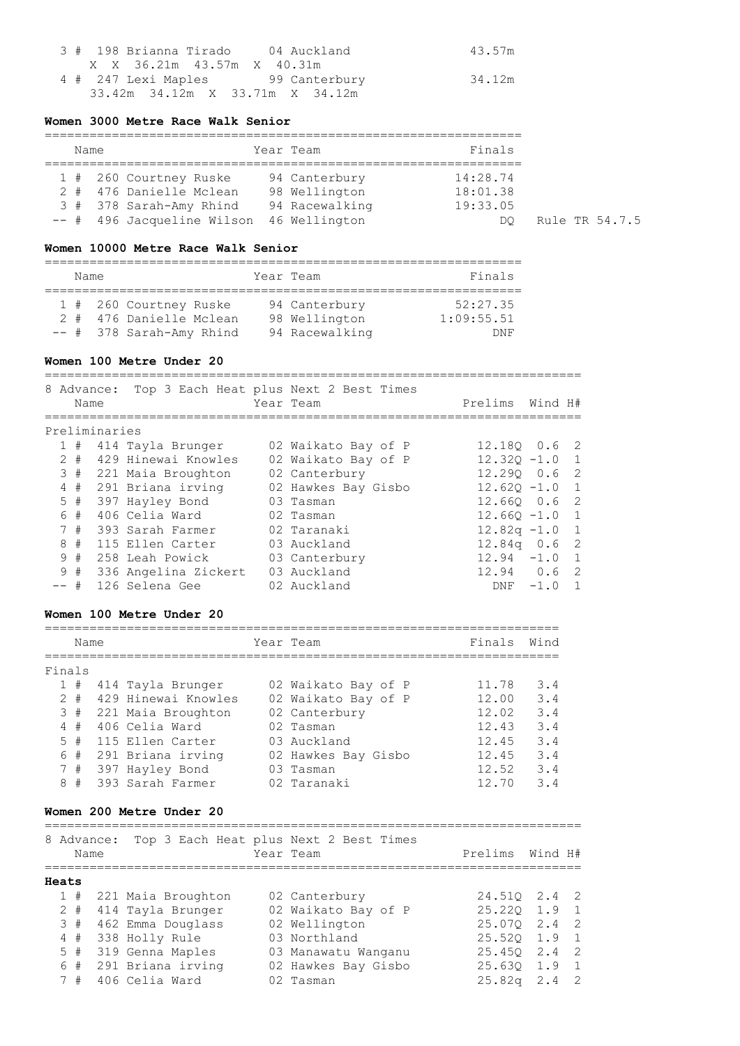|  | 3 # 198 Brianna Tirado     04 Auckland |  |  |  | 43.57m |
|--|----------------------------------------|--|--|--|--------|
|  | X X 36.21m 43.57m X 40.31m             |  |  |  |        |
|  | 4 # 247 Lexi Maples 99 Canterbury      |  |  |  | 34.12m |
|  | 33.42m 34.12m X 33.71m X 34.12m        |  |  |  |        |

### **Women 3000 Metre Race Walk Senior**

| Name |  |  |                            | Year Team      | Finals   |
|------|--|--|----------------------------|----------------|----------|
|      |  |  | 1 # 260 Courtney Ruske     | 94 Canterbury  | 14:28.74 |
|      |  |  | 2 # 476 Danielle Mclean    | 98 Wellington  | 18:01.38 |
|      |  |  | 3 # 378 Sarah-Amy Rhind    | 94 Racewalking | 19:33.05 |
|      |  |  | -- # 496 Jacqueline Wilson | 46 Wellington  | DO       |

Rule TR 54.7.5

# **Women 10000 Metre Race Walk Senior**

| Name |  |  |                                                   | Year Team                      | Finals                 |
|------|--|--|---------------------------------------------------|--------------------------------|------------------------|
|      |  |  | 1 # 260 Courtney Ruske<br>2 # 476 Danielle Mclean | 94 Canterbury<br>98 Wellington | 52:27.35<br>1:09:55.51 |
|      |  |  | $--$ # 378 Sarah-Amy Rhind                        | 94 Racewalking                 | <b>DNF</b>             |

### **Women 100 Metre Under 20**

========================================================================

|        | 8 Advance:<br>Name |                        | Top 3 Each Heat plus Next 2 Best Times<br>Year Team | Prelims Wind H#  |        |                |
|--------|--------------------|------------------------|-----------------------------------------------------|------------------|--------|----------------|
|        | Preliminaries      |                        |                                                     |                  |        |                |
| 1#     |                    | 414 Tayla Brunger      | 02 Waikato Bay of P                                 | 12.180 0.6 2     |        |                |
| $2 +$  |                    | 429 Hinewai Knowles    | 02 Waikato Bay of P                                 | $12.320 - 1.0$   |        | $\overline{1}$ |
|        |                    | 3 # 221 Maia Broughton | 02 Canterbury                                       | $12.290$ 0.6 2   |        |                |
|        |                    | 4 # 291 Briana irving  | 02 Hawkes Bay Gisbo                                 | $12.620 - 1.0$   |        | $\overline{1}$ |
| 5#     |                    | 397 Hayley Bond        | 03 Tasman                                           | $12.660$ $0.6$ 2 |        |                |
| 6 #    |                    | 406 Celia Ward         | 02 Tasman                                           | $12.660 - 1.0$   |        | $\overline{1}$ |
| 7#     |                    | 393 Sarah Farmer       | 02 Taranaki                                         | $12.82q - 1.0$   |        | $\overline{1}$ |
| 8#     |                    | 115 Ellen Carter       | 03 Auckland                                         | $12.84q$ 0.6 2   |        |                |
| 9#     |                    | 258 Leah Powick        | 03 Canterbury                                       | $12.94 - 1.0$    |        | $\overline{1}$ |
| 9#     |                    | 336 Angelina Zickert   | 03 Auckland                                         | $12.94$ 0.6      |        | $\overline{2}$ |
| $--$ # |                    | 126 Selena Gee         | 02 Auckland                                         | <b>DNF</b>       | $-1.0$ |                |

### **Women 100 Metre Under 20**

|              | Name  |                     | Year Team           | Finals | Wind |
|--------------|-------|---------------------|---------------------|--------|------|
| Finals       |       |                     |                     |        |      |
| $\mathbf{1}$ | #     | 414 Tayla Brunger   | 02 Waikato Bay of P | 11.78  | 3.4  |
|              | $2 +$ | 429 Hinewai Knowles | 02 Waikato Bay of P | 12.00  | 3.4  |
|              | 3#    | 221 Maia Broughton  | 02 Canterbury       | 12.02  | 3.4  |
|              | 4#    | 406 Celia Ward      | 02 Tasman           | 12.43  | 3.4  |
|              | $5 +$ | 115 Ellen Carter    | 03 Auckland         | 12.45  | 3.4  |
|              | 6#    | 291 Briana irving   | 02 Hawkes Bay Gisbo | 12.45  | 3.4  |
|              | 7#    | 397 Hayley Bond     | 03 Tasman           | 12.52  | 3.4  |
| 8            | #     | 393 Sarah Farmer    | 02 Taranaki         | 12.70  | 3.4  |

#### **Women 200 Metre Under 20**

|       | Name  | 8 Advance: |                    | Top 3 Each Heat plus Next 2 Best Times<br>Year Team | Prelims                    | Wind H# |                |
|-------|-------|------------|--------------------|-----------------------------------------------------|----------------------------|---------|----------------|
| Heats |       |            |                    |                                                     |                            |         |                |
|       | 1#    |            | 221 Maia Broughton | 02 Canterbury                                       | 24.510 2.4 2               |         |                |
|       | $2 +$ |            | 414 Tayla Brunger  | 02 Waikato Bay of P                                 | $25.220 \quad 1.9$         |         | $\overline{1}$ |
| 3#    |       |            | 462 Emma Douglass  | 02 Wellington                                       | 25.070 2.4 2               |         |                |
| 4#    |       |            | 338 Holly Rule     | 03 Northland                                        | 25.520 1.9 1               |         |                |
| $5$ # |       |            | 319 Genna Maples   | 03 Manawatu Wanganu                                 | $25.450 \quad 2.4 \quad 2$ |         |                |
|       | 6#    |            | 291 Briana irving  | 02 Hawkes Bay Gisbo                                 | 25.630 1.9                 |         | $\sqrt{1}$     |
|       | 7#    |            | 406 Celia Ward     | 02 Tasman                                           | $25.82q$ 2.4 2             |         |                |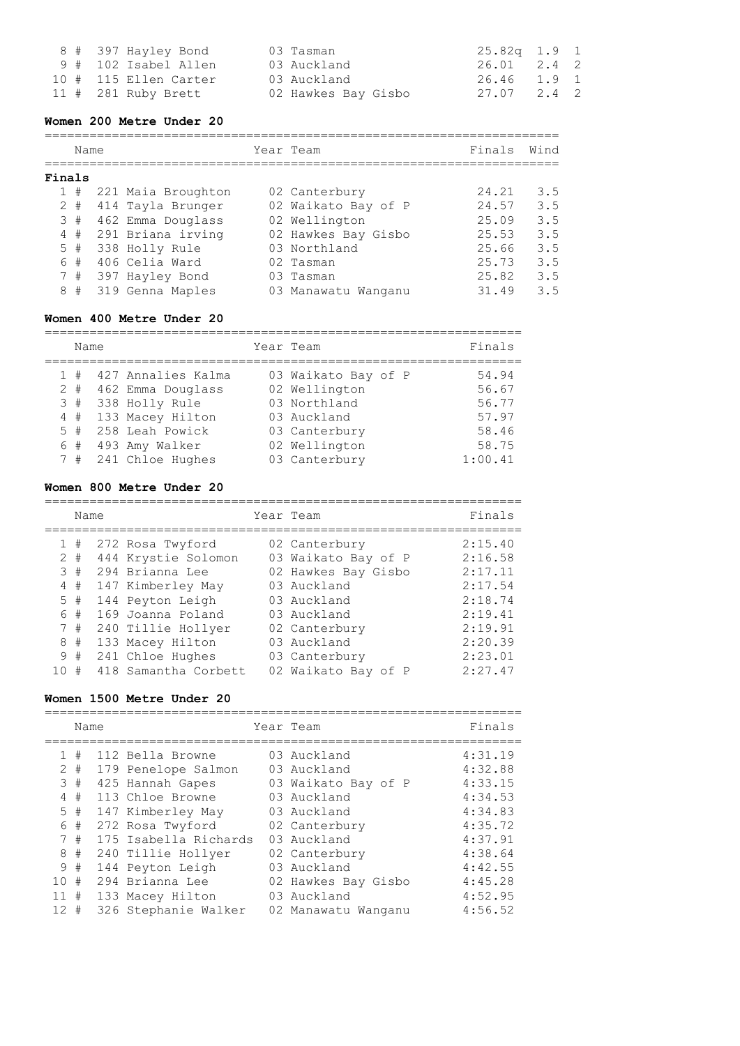| 8 # 397 Hayley Bond   | 03 Tasman           | 25.82a 1.9 1 |  |
|-----------------------|---------------------|--------------|--|
| 9 # 102 Isabel Allen  | 03 Auckland         | 26.01 2.4 2  |  |
| 10 # 115 Ellen Carter | 03 Auckland         | 26.46 1.9 1  |  |
| $11$ # 281 Ruby Brett | 02 Hawkes Bay Gisbo | 27.07 2.4 2  |  |

#### **Women 200 Metre Under 20**

===================================================================== Name **South State Team** Team Team Finals Wind ===================================================================== **Finals** 1 # 221 Maia Broughton 02 Canterbury 24.21 3.5 2 # 414 Tayla Brunger 02 Waikato Bay of P 24.57 3.5 3 # 462 Emma Douglass 02 Wellington 25.09 3.5 4 # 291 Briana irving 02 Hawkes Bay Gisbo 25.53 3.5 5 # 338 Holly Rule 03 Northland 25.66 3.5 6 # 406 Celia Ward 02 Tasman 25.73 3.5 7 # 397 Hayley Bond 03 Tasman 25.82 3.5 8 # 319 Genna Maples 03 Manawatu Wanganu 31.49 3.5

## **Women 400 Metre Under 20**

================================================================ Name Year Team Finals ================================================================ 1 # 427 Annalies Kalma 03 Waikato Bay of P 54.94 2 # 462 Emma Douglass 02 Wellington 56.67 3 # 338 Holly Rule 03 Northland 56.77 4 # 133 Macey Hilton 03 Auckland 57.97 5 # 258 Leah Powick 03 Canterbury 58.46 6 # 493 Amy Walker 02 Wellington 58.75 7 # 241 Chloe Hughes 03 Canterbury 1:00.41

#### **Women 800 Metre Under 20**

|    | Name  |                      | Year Team |                     | Finals  |
|----|-------|----------------------|-----------|---------------------|---------|
|    | #     | 272 Rosa Twyford     |           | 02 Canterbury       | 2:15.40 |
|    | $2 +$ | 444 Krystie Solomon  |           | 03 Waikato Bay of P | 2:16.58 |
|    | 3#    | 294 Brianna Lee      |           | 02 Hawkes Bay Gisbo | 2:17.11 |
|    | $4$ # | 147 Kimberley May    |           | 03 Auckland         | 2:17.54 |
|    | $5$ # | 144 Peyton Leigh     |           | 03 Auckland         | 2:18.74 |
|    | 6 #   | 169 Joanna Poland    |           | 03 Auckland         | 2:19.41 |
|    | 7#    | 240 Tillie Hollyer   |           | 02 Canterbury       | 2:19.91 |
| 8  | #     | 133 Macey Hilton     |           | 03 Auckland         | 2:20.39 |
| 9  | #     | 241 Chloe Hughes     |           | 03 Canterbury       | 2:23.01 |
| 10 | #     | 418 Samantha Corbett |           | 02 Waikato Bay of P | 2:27.47 |

#### **Women 1500 Metre Under 20**

================================================================ Name Tear Team Name Finals ================================================================ 1 # 112 Bella Browne 03 Auckland 4:31.19 2 # 179 Penelope Salmon 03 Auckland 4:32.88 3 # 425 Hannah Gapes 03 Waikato Bay of P 4:33.15 4 # 113 Chloe Browne 03 Auckland 4:34.53 5 # 147 Kimberley May 03 Auckland 4:34.83 6 # 272 Rosa Twyford 02 Canterbury 4:35.72 7 # 175 Isabella Richards 03 Auckland 4:37.91 8 # 240 Tillie Hollyer 02 Canterbury 4:38.64 9 # 144 Peyton Leigh 03 Auckland 4:42.55 10 # 294 Brianna Lee 02 Hawkes Bay Gisbo 4:45.28 11 # 133 Macey Hilton 03 Auckland 4:52.95 12 # 326 Stephanie Walker 02 Manawatu Wanganu 4:56.52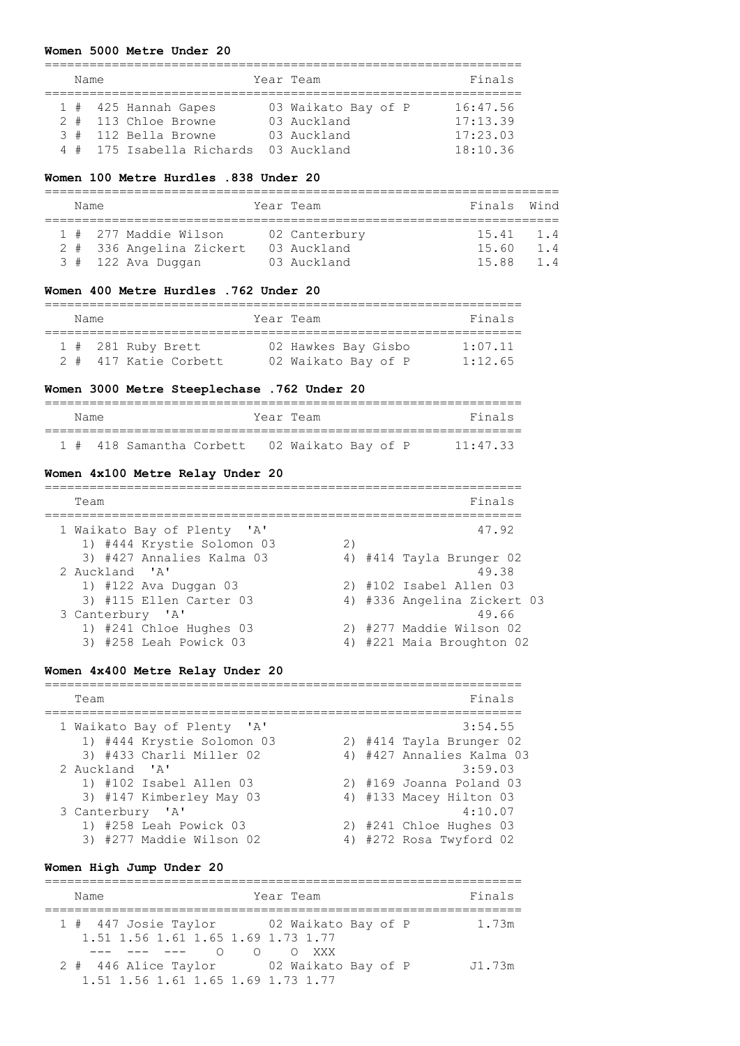#### **Women 5000 Metre Under 20**

| Name |                           | Year Team           | Finals   |
|------|---------------------------|---------------------|----------|
|      |                           |                     |          |
|      | 1 # 425 Hannah Gapes      | 03 Waikato Bay of P | 16:47.56 |
|      | 2 # 113 Chloe Browne      | 03 Auckland         | 17:13.39 |
|      | 3 # 112 Bella Browne      | 03 Auckland         | 17:23.03 |
|      | 4 # 175 Isabella Richards | 03 Auckland         | 18:10.36 |

#### **Women 100 Metre Hurdles .838 Under 20**

| Name |                                                                         | Year Team                                   | Finals Wind             |                  |
|------|-------------------------------------------------------------------------|---------------------------------------------|-------------------------|------------------|
|      | 1 # 277 Maddie Wilson<br>2 # 336 Angelina Zickert<br>3 # 122 Ava Duqqan | 02 Canterbury<br>03 Auckland<br>03 Auckland | 15.41<br>15.60<br>15.88 | 1.4<br>1 4<br>14 |

### **Women 400 Metre Hurdles .762 Under 20**

| Name |                       | Year Team           | Finals  |
|------|-----------------------|---------------------|---------|
|      | 1 # 281 Ruby Brett    | 02 Hawkes Bay Gisbo | 1:07.11 |
|      | 2 # 417 Katie Corbett | 02 Waikato Bay of P | 1:12.65 |

## **Women 3000 Metre Steeplechase .762 Under 20**

| Name |                                              |  | Year Team |  |  | Finals   |
|------|----------------------------------------------|--|-----------|--|--|----------|
|      | 1 # 418 Samantha Corbett 02 Waikato Bay of P |  |           |  |  | 11:47.33 |

#### **Women 4x100 Metre Relay Under 20**

| Team                        | Finals                      |
|-----------------------------|-----------------------------|
| 1 Waikato Bay of Plenty 'A' | 47.92                       |
| 1) #444 Krystie Solomon 03  | 2)                          |
| 3) #427 Annalies Kalma 03   | 4) #414 Tayla Brunger 02    |
| 2 Auckland 'A'              | 49.38                       |
| 1) #122 Ava Duggan 03       | 2) #102 Isabel Allen 03     |
| 3) #115 Ellen Carter 03     | 4) #336 Angelina Zickert 03 |
| 3 Canterbury 'A'            | 49.66                       |
| 1) #241 Chloe Hughes 03     | 2) #277 Maddie Wilson 02    |
| 3) #258 Leah Powick 03      | 4) #221 Maia Broughton 02   |

### **Women 4x400 Metre Relay Under 20**

| Team                        |  | Finals                    |
|-----------------------------|--|---------------------------|
| 1 Waikato Bay of Plenty 'A' |  | 3:54.55                   |
| 1) #444 Krystie Solomon 03  |  | 2) #414 Tayla Brunger 02  |
| 3) #433 Charli Miller 02    |  | 4) #427 Annalies Kalma 03 |
| 2 Auckland 'A'              |  | 3:59.03                   |
| 1) #102 Isabel Allen 03     |  | 2) #169 Joanna Poland 03  |
| 3) #147 Kimberley May 03    |  | 4) #133 Macey Hilton 03   |
| 3 Canterbury 'A'            |  | 4:10.07                   |
| 1) #258 Leah Powick 03      |  | 2) #241 Chloe Hughes 03   |
| 3) #277 Maddie Wilson 02    |  | 4) #272 Rosa Twyford 02   |

### **Women High Jump Under 20**

================================================================ Name **Name** Year Team **Finals** ================================================================ 1 # 447 Josie Taylor 02 Waikato Bay of P 1.73m 1.51 1.56 1.61 1.65 1.69 1.73 1.77 --- --- --- O O O XXX 2 # 446 Alice Taylor 02 Waikato Bay of P J1.73m 1.51 1.56 1.61 1.65 1.69 1.73 1.77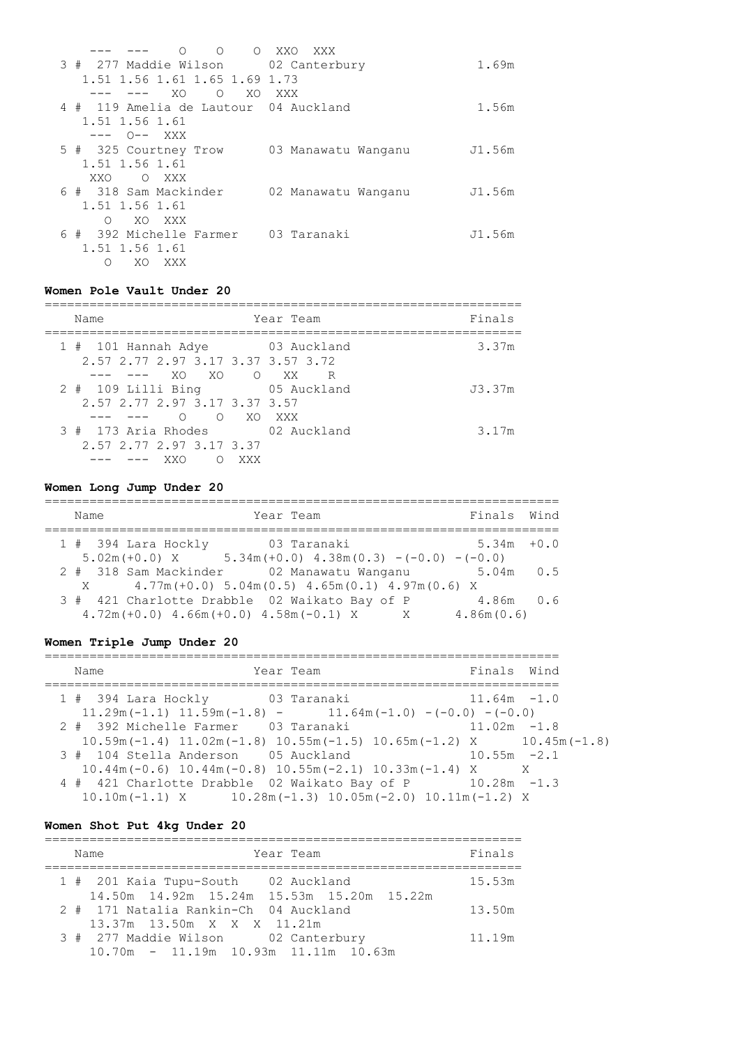| $\Omega$<br>$\circ$<br>$\bigcirc$     | XXO<br>XXX          |        |
|---------------------------------------|---------------------|--------|
| 3 # 277 Maddie Wilson 02 Canterbury   |                     | 1.69m  |
| 1.51 1.56 1.61 1.65 1.69 1.73         |                     |        |
| XO<br>XO<br>$\Omega$                  | XXX                 |        |
| 4 # 119 Amelia de Lautour 04 Auckland |                     | 1.56m  |
| 1.51 1.56 1.61                        |                     |        |
| --- 0-- XXX                           |                     |        |
| 5 # 325 Courtney Trow                 | 03 Manawatu Wanganu | J1.56m |
| 1.51 1.56 1.61                        |                     |        |
| XXO<br>O XXX                          |                     |        |
| 6 # 318 Sam Mackinder                 | 02 Manawatu Wanganu | J1.56m |
| 1.51 1.56 1.61                        |                     |        |
| XO XXX<br>∩                           |                     |        |
| 6 # 392 Michelle Farmer               | 03 Taranaki         | J1.56m |
| 1.51 1.56 1.61                        |                     |        |
| XO.<br>XXX<br>Ω                       |                     |        |

# **Women Pole Vault Under 20**

| Name                                                                   |                        |     | Year Team   | Finals |
|------------------------------------------------------------------------|------------------------|-----|-------------|--------|
| 1 # 101 Hannah Adye 63 Auckland<br>2.57 2.77 2.97 3.17 3.37 3.57 3.72  | XO XO O XX             |     | R           | 3.37m  |
| $2$ # 109 Lilli Bing<br>2.57 2.77 2.97 3.17 3.37 3.57                  | O XO XXX<br>$\bigcirc$ |     | 05 Auckland | J3.37m |
| 3 # 173 Aria Rhodes 62 Auckland<br>2.57 2.77 2.97 3.17 3.37<br>––– XXO | $\left(\right)$        | XXX |             | 3.17m  |

# **Women Long Jump Under 20**

| Year Team<br>Name                                                      | Finals Wind   |  |
|------------------------------------------------------------------------|---------------|--|
| $1$ # 394 Lara Hockly<br>03 Taranaki                                   | $5.34m + 0.0$ |  |
| $5.02m (+0.0)$ X $5.34m (+0.0)$ $4.38m(0.3)$ $-(-0.0)$ $-(-0.0)$       |               |  |
| 2 # 318 Sam Mackinder 02 Manawatu Wanganu                              | $5.04m$ 0.5   |  |
| $4.77m (+0.0)$ 5.04 $m(0.5)$ 4.65 $m(0.1)$ 4.97 $m(0.6)$ X<br>$X \sim$ |               |  |
| 3 # 421 Charlotte Drabble 02 Waikato Bay of P                          | $4.86m$ $0.6$ |  |
| $4.72m (+0.0)$ $4.66m (+0.0)$ $4.58m (-0.1)$ X<br>$\mathsf{X}$         | 4.86m(0.6)    |  |

# **Women Triple Jump Under 20**

| Name                                                                                                  | Year Team |  | Finals Wind    |  |
|-------------------------------------------------------------------------------------------------------|-----------|--|----------------|--|
| 1 # 394 Lara Hockly 03 Taranaki                                                                       |           |  | $11.64m - 1.0$ |  |
| $11.29m(-1.1)$ $11.59m(-1.8)$ - $11.64m(-1.0)$ -(-0.0) -(-0.0)                                        |           |  |                |  |
| 2 # 392 Michelle Farmer 03 Taranaki                                                                   |           |  | $11.02m - 1.8$ |  |
| $10.59$ m( $-1.4$ ) $11.02$ m( $-1.8$ ) $10.55$ m( $-1.5$ ) $10.65$ m( $-1.2$ ) X $10.45$ m( $-1.8$ ) |           |  |                |  |
| 3 # 104 Stella Anderson 05 Auckland                                                                   |           |  | $10.55m - 2.1$ |  |
| $10.44$ m (-0.6) $10.44$ m (-0.8) $10.55$ m (-2.1) $10.33$ m (-1.4) X                                 |           |  | $\mathbf{X}$   |  |
| 4 # 421 Charlotte Drabble 02 Waikato Bay of P 10.28m -1.3                                             |           |  |                |  |
| $10.10m(-1.1)$ X $10.28m(-1.3)$ $10.05m(-2.0)$ $10.11m(-1.2)$ X                                       |           |  |                |  |

# **Women Shot Put 4kg Under 20**

| Year Team<br>Name                                                                       | Finals |
|-----------------------------------------------------------------------------------------|--------|
| 1 # 201 Kaia Tupu-South 02 Auckland                                                     | 15.53m |
| 14.50m  14.92m  15.24m  15.53m  15.20m  15.22m<br>2 # 171 Natalia Rankin-Ch 04 Auckland | 13.50m |
| 13.37m 13.50m X X X 11.21m<br>3 # 277 Maddie Wilson 02 Canterbury                       | 11.19m |
| $10.70m - 11.19m 10.93m 11.11m 10.63m$                                                  |        |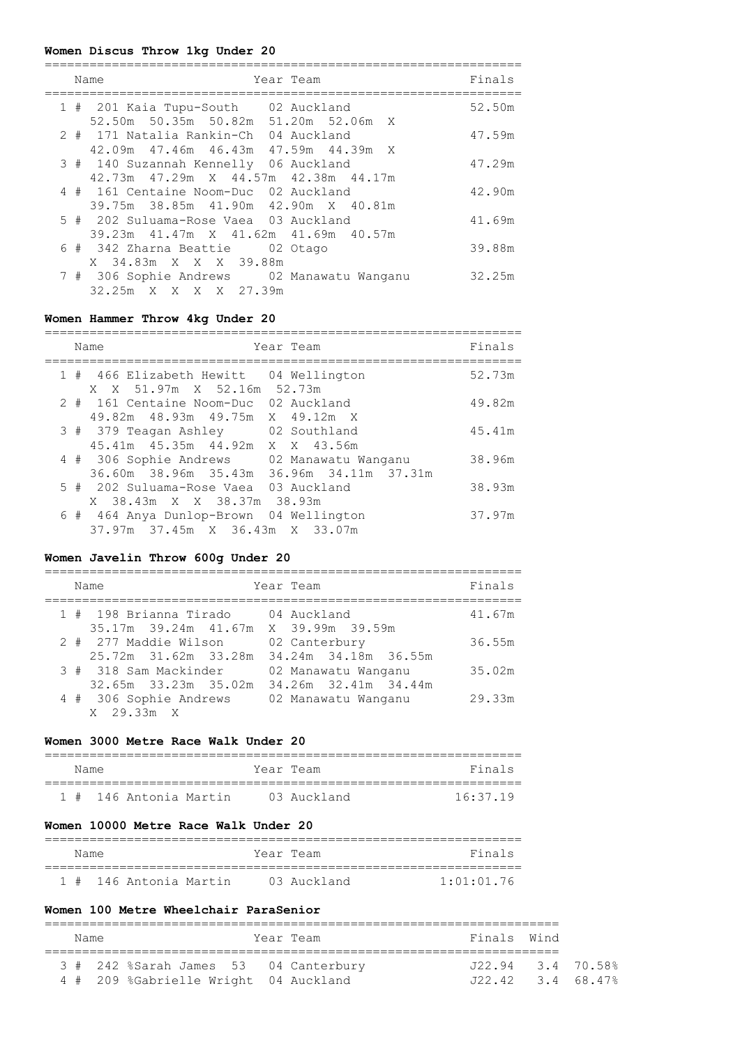# **Women Discus Throw 1kg Under 20**

| Name<br>Year Team                                                                            | Finals |
|----------------------------------------------------------------------------------------------|--------|
| 1 # 201 Kaia Tupu-South 02 Auckland<br>52.50m 50.35m 50.82m 51.20m 52.06m X                  | 52.50m |
| 2 # 171 Natalia Rankin-Ch 04 Auckland<br>42.09m 47.46m 46.43m 47.59m 44.39m X                | 47.59m |
| 3 # 140 Suzannah Kennelly 06 Auckland<br>42.73m  47.29m  X  44.57m  42.38m  44.17m           | 47.29m |
| 4 # 161 Centaine Noom-Duc 02 Auckland<br>39.75m 38.85m 41.90m 42.90m X 40.81m                | 42.90m |
| 5 # 202 Suluama-Rose Vaea 03 Auckland                                                        | 41.69m |
| 39.23m 41.47m X 41.62m 41.69m 40.57m<br>6 # 342 Zharna Beattie 02 Otago                      | 39.88m |
| X 34.83m X X X 39.88m<br>7 # 306 Sophie Andrews 02 Manawatu Wanganu<br>32.25m X X X X 27.39m | 32.25m |

# **Women Hammer Throw 4kg Under 20**

|  | Name                                                                                    | Year Team | Finals |
|--|-----------------------------------------------------------------------------------------|-----------|--------|
|  | 1 # 466 Elizabeth Hewitt 04 Wellington<br>X X 51.97m X 52.16m 52.73m                    |           | 52.73m |
|  | 2 # 161 Centaine Noom-Duc 02 Auckland<br>49.82m 48.93m 49.75m X 49.12m X                |           | 49.82m |
|  | 3 # 379 Teagan Ashley 02 Southland<br>45.41m 45.35m 44.92m X X 43.56m                   |           | 45.41m |
|  | 4 # 306 Sophie Andrews 02 Manawatu Wanganu<br>36.60m 38.96m 35.43m 36.96m 34.11m 37.31m |           | 38.96m |
|  | 5 # 202 Suluama-Rose Vaea 03 Auckland<br>X 38.43m X X 38.37m 38.93m                     |           | 38.93m |
|  | 6 # 464 Anya Dunlop-Brown 04 Wellington<br>37.97m 37.45m X 36.43m X 33.07m              |           | 37.97m |

## **Women Javelin Throw 600g Under 20**

|  | Name                                 | Year Team            | Finals |
|--|--------------------------------------|----------------------|--------|
|  | 1 # 198 Brianna Tirado               | 04 Auckland          | 41.67m |
|  | 35.17m 39.24m 41.67m X 39.99m 39.59m |                      |        |
|  | 2 # 277 Maddie Wilson                | 02 Canterbury        | 36.55m |
|  | 25.72m 31.62m 33.28m                 | 34.24m 34.18m 36.55m |        |
|  | 3 # 318 Sam Mackinder                | 02 Manawatu Wanganu  | 35.02m |
|  | 32.65m 33.23m 35.02m                 | 34.26m 32.41m 34.44m |        |
|  | 4 # 306 Sophie Andrews               | 02 Manawatu Wanganu  | 29.33m |
|  | $X = 29.33m X$                       |                      |        |

## **Women 3000 Metre Race Walk Under 20**

| Name |                        | Year Team |             | Finals     |
|------|------------------------|-----------|-------------|------------|
|      | 1 # 146 Antonia Martin |           | 03 Auckland | $16.37$ 19 |

# **Women 10000 Metre Race Walk Under 20**

| Name |                        | Year Team |             | Finals     |
|------|------------------------|-----------|-------------|------------|
|      | 1 # 146 Antonia Martin |           | 03 Auckland | 1:01:01.76 |

# **Women 100 Metre Wheelchair ParaSenior**

| Name |                                       | Year Team | Finals Wind         |  |
|------|---------------------------------------|-----------|---------------------|--|
|      | 3 # 242 %Sarah James 53 04 Canterbury |           | $J22.94$ 3.4 70.58% |  |
|      | 4 # 209 %Gabrielle Wright 04 Auckland |           | J22.42 3.4 68.47%   |  |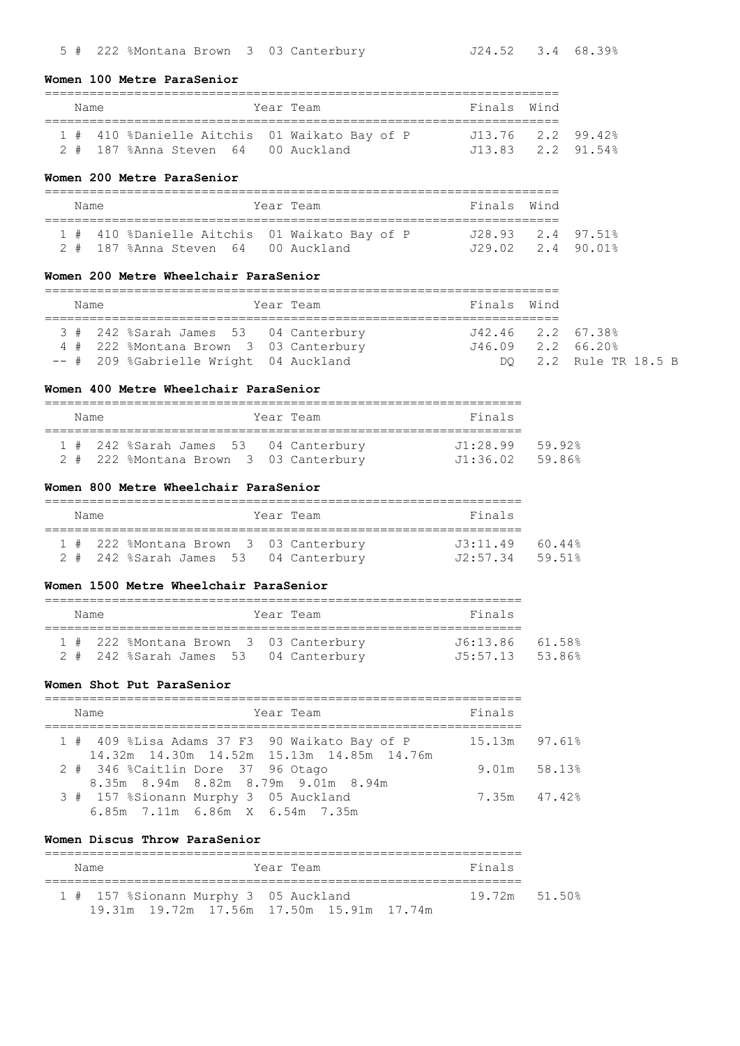#### **Women 100 Metre ParaSenior**

## ===================================================================== Name Year Team Finals Wind ===================================================================== 1 # 410 %Danielle Aitchis 01 Waikato Bay of P J13.76 2.2 99.42%

|  |                                     |  | $\perp$ $\parallel$ $\perp$ $\perp$ $\sim$ $\sim$ $\sim$ $\perp$ $\sim$ $\perp$ $\perp$ $\perp$ $\perp$ $\perp$ $\perp$ $\perp$ $\perp$ $\perp$ $\perp$ $\perp$ $\perp$ $\perp$ $\perp$ $\perp$ $\perp$ $\perp$ $\perp$ $\perp$ $\perp$ $\perp$ $\perp$ $\perp$ $\perp$ $\perp$ $\perp$ $\perp$ $\perp$ $\perp$ |                   |  |
|--|-------------------------------------|--|-----------------------------------------------------------------------------------------------------------------------------------------------------------------------------------------------------------------------------------------------------------------------------------------------------------------|-------------------|--|
|  | 2 # 187 %Anna Steven 64 00 Auckland |  |                                                                                                                                                                                                                                                                                                                 | J13.83 2.2 91.54% |  |

#### **Women 200 Metre ParaSenior**

| Name |                                               | Year Team | Finals Wind       |  |
|------|-----------------------------------------------|-----------|-------------------|--|
|      | 1 # 410 %Danielle Aitchis 01 Waikato Bay of P |           | J28.93 2.4 97.51% |  |
|      | 2 # 187 %Anna Steven 64 00 Auckland           |           | J29.02 2.4 90.01% |  |

## **Women 200 Metre Wheelchair ParaSenior**

| Name |                                        |  | Year Team | Finals Wind                         |  |                       |  |  |  |  |
|------|----------------------------------------|--|-----------|-------------------------------------|--|-----------------------|--|--|--|--|
|      | 3 # 242 %Sarah James 53 04 Canterbury  |  |           | $J42.46$ $2.2$ $67.38$ <sup>9</sup> |  |                       |  |  |  |  |
|      | 4 # 222 %Montana Brown 3 03 Canterbury |  |           | $J46.09$ 2.2 $66.20\%$              |  |                       |  |  |  |  |
|      | -- # 209 %Gabrielle Wright 04 Auckland |  |           |                                     |  | DO 2.2 Rule TR 18.5 B |  |  |  |  |

## **Women 400 Metre Wheelchair ParaSenior**

| Name |  |                                        |  |  | Year Team | Finals                   |  |  |  |  |
|------|--|----------------------------------------|--|--|-----------|--------------------------|--|--|--|--|
|      |  | 1 # 242 %Sarah James 53 04 Canterbury  |  |  |           | $.11 \cdot 28$ 99 59 92% |  |  |  |  |
|      |  | 2 # 222 %Montana Brown 3 03 Canterbury |  |  |           | J1:36.02 59.86%          |  |  |  |  |

### **Women 800 Metre Wheelchair ParaSenior**

| Name |                                        |  | Year Team | Finals          |  |  |  |  |  |  |
|------|----------------------------------------|--|-----------|-----------------|--|--|--|--|--|--|
|      | 1 # 222 %Montana Brown 3 03 Canterbury |  |           | J3:11.49 60.44% |  |  |  |  |  |  |
|      | 2 # 242 %Sarah James 53 04 Canterbury  |  |           | J2:57.34 59.51% |  |  |  |  |  |  |

#### **Women 1500 Metre Wheelchair ParaSenior**

| Name |  |                                        |  | Year Team | Finals          |  |  |  |  |  |  |
|------|--|----------------------------------------|--|-----------|-----------------|--|--|--|--|--|--|
|      |  | 1 # 222 %Montana Brown 3 03 Canterbury |  |           | J6:13.86 61.58% |  |  |  |  |  |  |
|      |  | 2 # 242 %Sarah James 53 04 Canterbury  |  |           | J5:57.13 53.86% |  |  |  |  |  |  |

## **Women Shot Put ParaSenior**

| Name                                                                                       | Year Team | Finals          |  |
|--------------------------------------------------------------------------------------------|-----------|-----------------|--|
| 1 # 409 %Lisa Adams 37 F3 90 Waikato Bay of P<br>14.32m 14.30m 14.52m 15.13m 14.85m 14.76m |           | $15.13m$ 97.61% |  |
| 2 # 346 %Caitlin Dore 37 96 Otago<br>8.35m 8.94m 8.82m 8.79m 9.01m 8.94m                   |           | 9.01m 58.13%    |  |
| 3 # 157 %Sionann Murphy 3 05 Auckland<br>6.85m 7.11m 6.86m X 6.54m 7.35m                   |           | 7.35m 47.42%    |  |

### **Women Discus Throw ParaSenior**

| Name                                      | Year Team |  |  |  | Finals        |  |  |  |  |  |  |
|-------------------------------------------|-----------|--|--|--|---------------|--|--|--|--|--|--|
| 1 # 157 %Sionann Murphy 3 05 Auckland     |           |  |  |  | 19.72m 51.50% |  |  |  |  |  |  |
| 19.31m 19.72m 17.56m 17.50m 15.91m 17.74m |           |  |  |  |               |  |  |  |  |  |  |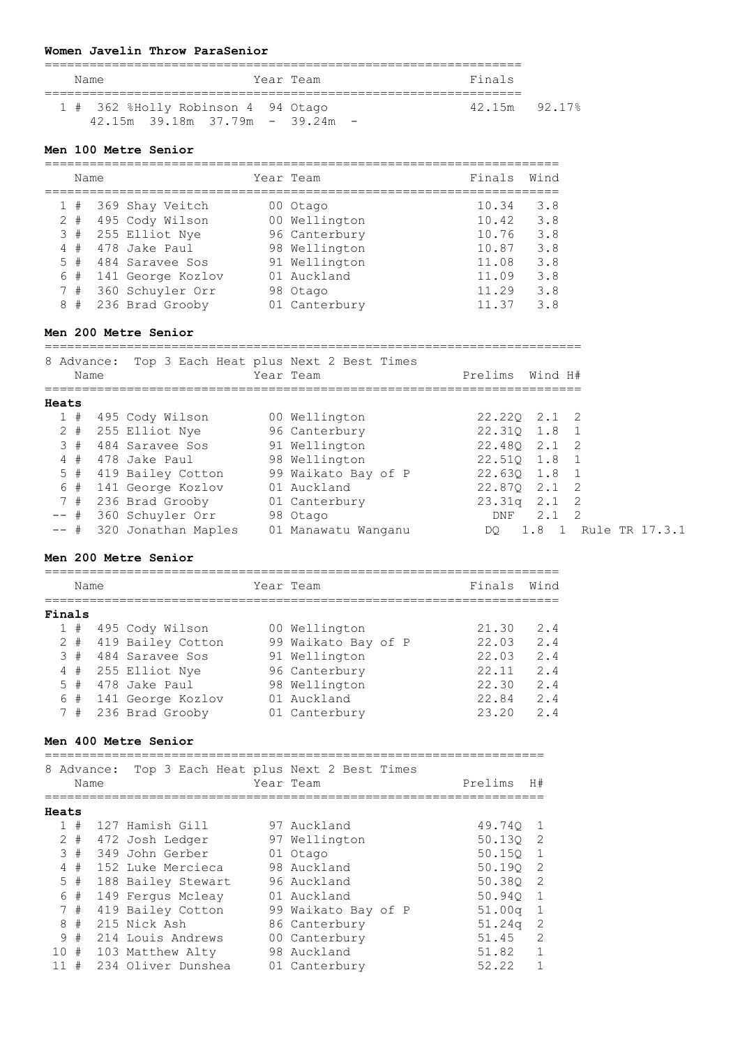# **Women Javelin Throw ParaSenior**

|  | Name                                                                    |  | Year Team |  | Finals        |  |  |  |  |  |  |
|--|-------------------------------------------------------------------------|--|-----------|--|---------------|--|--|--|--|--|--|
|  | 1 # 362 %Holly Robinson 4 94 Otago<br>$42.15m$ 39.18m 37.79m - 39.24m - |  |           |  | 42.15m 92.17% |  |  |  |  |  |  |

### **Men 100 Metre Senior**

|   | Name  |  |                     |  | Year Team     | Finals | Wind |
|---|-------|--|---------------------|--|---------------|--------|------|
|   |       |  | 1 # 369 Shay Veitch |  | 00 Otago      | 10.34  | 3.8  |
|   | $2 +$ |  | 495 Cody Wilson     |  | 00 Wellington | 10.42  | 3.8  |
|   | 3#    |  | 255 Elliot Nye      |  | 96 Canterbury | 10.76  | 3.8  |
|   | 4#    |  | 478 Jake Paul       |  | 98 Wellington | 10.87  | 3.8  |
|   | 5#    |  | 484 Saravee Sos     |  | 91 Wellington | 11.08  | 3.8  |
|   | 6#    |  | 141 George Kozlov   |  | 01 Auckland   | 11.09  | 3.8  |
|   | 7#    |  | 360 Schuyler Orr    |  | 98 Otago      | 11.29  | 3.8  |
| 8 | #     |  | 236 Brad Grooby     |  | 01 Canterbury | 11 37  | 3.8  |

# **Men 200 Metre Senior**

========================================================================

|  | Name  |                     | 8 Advance: Top 3 Each Heat plus Next 2 Best Times<br>Year Team | Prelims<br>Wind H#           |
|--|-------|---------------------|----------------------------------------------------------------|------------------------------|
|  | Heats |                     |                                                                |                              |
|  | 1#    | 495 Cody Wilson     | 00 Wellington                                                  | 22.220 2.1 2                 |
|  | $2 +$ | 255 Elliot Nye      | 96 Canterbury                                                  | 22.310 1.8 1                 |
|  | 3#    | 484 Saravee Sos     | 91 Wellington                                                  | 22.480 2.1 2                 |
|  | 4#    | 478 Jake Paul       | 98 Wellington                                                  | 22.510 1.8 1                 |
|  | $5$ # | 419 Bailey Cotton   | 99 Waikato Bay of P                                            | 22.630 1.8<br>$\overline{1}$ |
|  | 6#    | 141 George Kozlov   | 01 Auckland                                                    | 22,870<br>2.1 2              |
|  | 7#    | 236 Brad Grooby     | 01 Canterbury                                                  | $23.31q$ $2.1$ 2             |
|  | -- #  | 360 Schuyler Orr    | 98 Otago                                                       | 2.1<br>-2<br>DNF             |
|  | -- #  | 320 Jonathan Maples | 01 Manawatu Wanganu                                            | 1.8<br>Rule TR 17.3.1<br>DO  |

## **Men 200 Metre Senior**

|        | Name |                       | Year Team           | Finals | Wind |
|--------|------|-----------------------|---------------------|--------|------|
| Finals |      |                       |                     |        |      |
|        | 1#   | 495 Cody Wilson       | 00 Wellington       | 21.30  | 2.4  |
|        |      | 2 # 419 Bailey Cotton | 99 Waikato Bay of P | 22.03  | 2.4  |
|        | 3#   | 484 Saravee Sos       | 91 Wellington       | 22.03  | 2.4  |
|        | 4#   | 255 Elliot Nye        | 96 Canterbury       | 22.11  | 2.4  |
|        | 5#   | 478 Jake Paul         | 98 Wellington       | 22.30  | 2.4  |
|        | 6#   | 141 George Kozlov     | 01 Auckland         | 22.84  | 2.4  |
|        | 7#   | 236 Brad Grooby       | 01 Canterbury       | 23.20  | 24   |

# **Men 400 Metre Senior**

|       |             | Name  | 8 Advance: |                    | Top 3 Each Heat plus Next 2 Best Times<br>Year Team | Prelims            | H#            |
|-------|-------------|-------|------------|--------------------|-----------------------------------------------------|--------------------|---------------|
| Heats |             |       |            |                    |                                                     |                    |               |
|       |             | #     |            | 127 Hamish Gill    | 97 Auckland                                         | 49.740             |               |
|       | 2           | #     |            | 472 Josh Ledger    | 97 Wellington                                       | 50.130             | 2             |
|       | 3           | #     |            | 349 John Gerber    | 01 Otago                                            | 50.150             | -1            |
|       | 4           | #     |            | 152 Luke Mercieca  | 98 Auckland                                         | 50.190             | 2             |
|       |             | $5$ # |            | 188 Bailey Stewart | 96 Auckland                                         | 50.380             | -2            |
|       | 6           | #     |            | 149 Fergus Mcleay  | 01 Auckland                                         | 50.940             | -1            |
|       | $7^{\circ}$ | #     |            | 419 Bailey Cotton  | 99 Waikato Bay of P                                 | 51.00 <sub>q</sub> | 1             |
|       | 8           | #     |            | 215 Nick Ash       | 86 Canterbury                                       | 51.24 <sub>q</sub> | 2             |
|       | 9           | #     |            | 214 Louis Andrews  | 00 Canterbury                                       | 51.45              | $\mathcal{P}$ |
|       | 10          | #     |            | 103 Matthew Alty   | 98 Auckland                                         | 51.82              |               |
|       | 11          | #     |            | 234 Oliver Dunshea | 01 Canterbury                                       | 52.22              |               |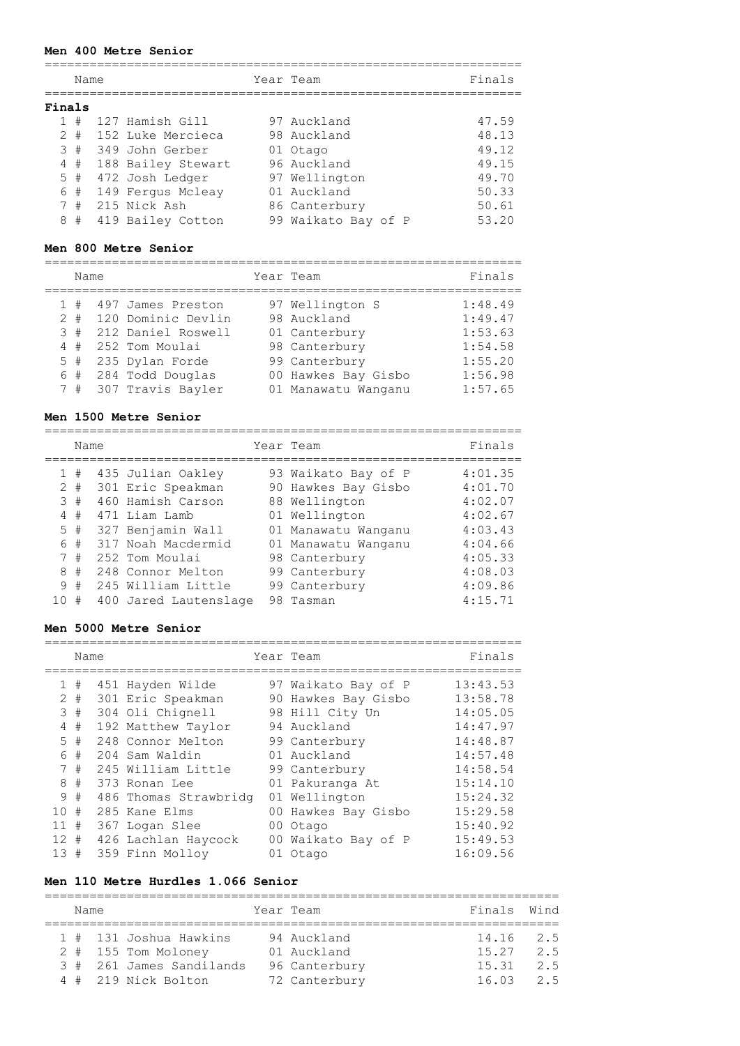## **Men 400 Metre Senior**

|        | Name  |                    | Year Team           | Finals |
|--------|-------|--------------------|---------------------|--------|
| Finals |       |                    |                     |        |
|        | #     | 127 Hamish Gill    | 97 Auckland         | 47.59  |
|        | $2 +$ | 152 Luke Mercieca  | 98 Auckland         | 48.13  |
|        | 3#    | 349 John Gerber    | 01 Otago            | 49.12  |
|        | 4#    | 188 Bailey Stewart | 96 Auckland         | 49.15  |
|        | $5$ # | 472 Josh Ledger    | 97 Wellington       | 49.70  |
|        | 6#    | 149 Fergus Mcleay  | 01 Auckland         | 50.33  |
|        | 7#    | 215 Nick Ash       | 86 Canterbury       | 50.61  |
| 8      | #     | 419 Bailey Cotton  | 99 Waikato Bay of P | 53.20  |

# **Men 800 Metre Senior**

================================================================

 $=$ 

|                               | Name |                                                                                                                                                       | Year Team                                                                                                                       | Finals                                                                    |
|-------------------------------|------|-------------------------------------------------------------------------------------------------------------------------------------------------------|---------------------------------------------------------------------------------------------------------------------------------|---------------------------------------------------------------------------|
| 1#<br>$2 +$<br>3#<br>4#<br>5# |      | 497 James Preston<br>120 Dominic Devlin<br>212 Daniel Roswell<br>252 Tom Moulai<br>235 Dylan Forde<br>$6$ # 284 Todd Douglas<br>7 # 307 Travis Bayler | 97 Wellington S<br>98 Auckland<br>01 Canterbury<br>98 Canterbury<br>99 Canterbury<br>00 Hawkes Bay Gisbo<br>01 Manawatu Wanganu | 1:48.49<br>1:49.47<br>1:53.63<br>1:54.58<br>1:55.20<br>1:56.98<br>1:57.65 |
|                               |      |                                                                                                                                                       |                                                                                                                                 |                                                                           |

#### **Men 1500 Metre Senior**

|              | Name  |                       | Year Team           | Finals  |
|--------------|-------|-----------------------|---------------------|---------|
| $\mathbf{1}$ | #     | 435 Julian Oakley     | 93 Waikato Bay of P | 4:01.35 |
| 2            | #     | 301 Eric Speakman     | 90 Hawkes Bay Gisbo | 4:01.70 |
|              | 3#    | 460 Hamish Carson     | 88 Wellington       | 4:02.07 |
|              | 4#    | 471 Liam Lamb         | 01 Wellington       | 4:02.67 |
|              | $5$ # | 327 Benjamin Wall     | 01 Manawatu Wanganu | 4:03.43 |
|              | 6 #   | 317 Noah Macdermid    | 01 Manawatu Wanganu | 4:04.66 |
|              | 7#    | 252 Tom Moulai        | 98 Canterbury       | 4:05.33 |
| 8            | #     | 248 Connor Melton     | 99 Canterbury       | 4:08.03 |
| 9            | #     | 245 William Little    | 99 Canterbury       | 4:09.86 |
| 10           | #     | 400 Jared Lautenslage | 98 Tasman           | 4:15.71 |

## **Men 5000 Metre Senior**

|                 | Name  |                       | Year Team           | Finals   |
|-----------------|-------|-----------------------|---------------------|----------|
| $\mathbf{1}$    | #     | 451 Hayden Wilde      | 97 Waikato Bay of P | 13:43.53 |
|                 | $2 +$ | 301 Eric Speakman     | 90 Hawkes Bay Gisbo | 13:58.78 |
| 3               | #     | 304 Oli Chignell      | 98 Hill City Un     | 14:05.05 |
| 4               | #     | 192 Matthew Taylor    | 94 Auckland         | 14:47.97 |
|                 | 5#    | 248 Connor Melton     | 99 Canterbury       | 14:48.87 |
| 6               | #     | 204 Sam Waldin        | 01 Auckland         | 14:57.48 |
|                 | 7#    | 245 William Little    | 99 Canterbury       | 14:58.54 |
| 8               | #     | 373 Ronan Lee         | 01 Pakuranga At     | 15:14.10 |
| 9               | #     | 486 Thomas Strawbridg | 01 Wellington       | 15:24.32 |
| 10 <sup>1</sup> | #     | 285 Kane Elms         | 00 Hawkes Bay Gisbo | 15:29.58 |
| 11              | #     | 367 Logan Slee        | 00 Otago            | 15:40.92 |
| $12 \pm$        |       | 426 Lachlan Haycock   | 00 Waikato Bay of P | 15:49.53 |
| 13 <sup>°</sup> | #     | 359 Finn Molloy       | 01 Otago            | 16:09.56 |

# **Men 110 Metre Hurdles 1.066 Senior**

| Name |                          | Year Team     | Finals Wind |     |
|------|--------------------------|---------------|-------------|-----|
|      | 1 # 131 Joshua Hawkins   | 94 Auckland   | 14.16 2.5   |     |
|      | 2 # 155 Tom Moloney      | 01 Auckland   | $15.27$ 2.5 |     |
|      | 3 # 261 James Sandilands | 96 Canterbury | 15.31       | 2.5 |
|      | 4 # 219 Nick Bolton      | 72 Canterbury | 16.03       | 2.5 |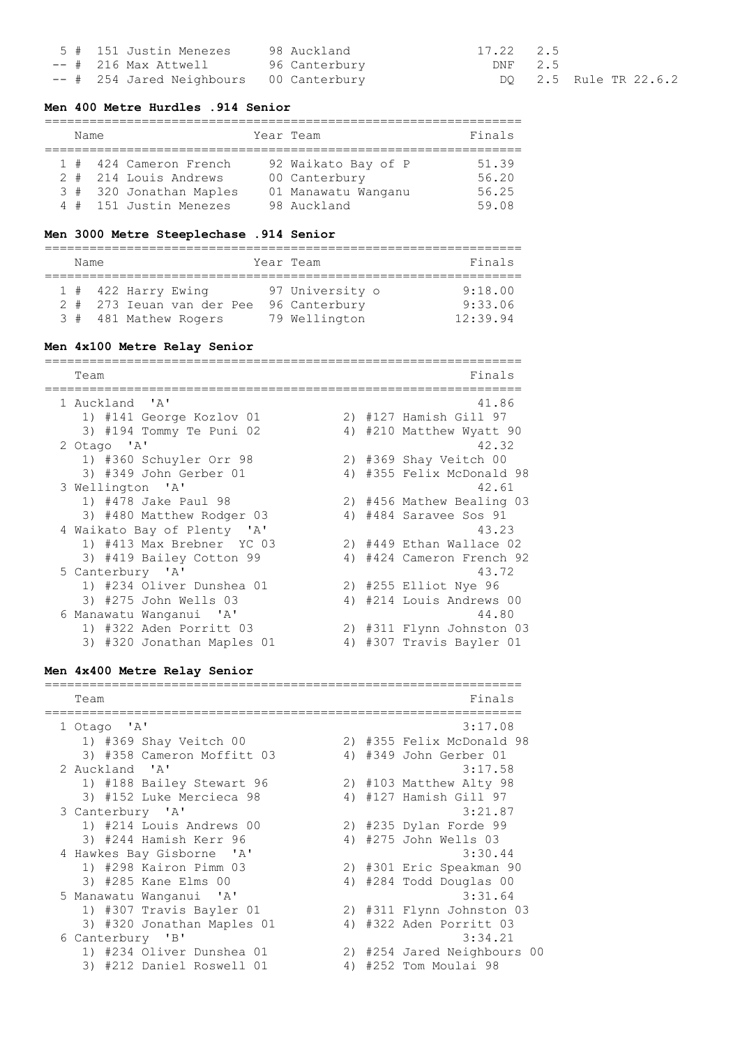|  | 5 # 151 Justin Menezes                  | 98 Auckland | 17.22 2.5 |            |  |
|--|-----------------------------------------|-------------|-----------|------------|--|
|  | -- # 216 Max Attwell 96 Canterbury      |             | DNF 2.5   |            |  |
|  | -- # 254 Jared Neighbours 00 Canterbury |             |           | DO 2.5 Rul |  |

le TR 22.6.2

## **Men 400 Metre Hurdles .914 Senior**

|  | Name |                         | Year Team           | Finals |
|--|------|-------------------------|---------------------|--------|
|  |      | 1 # 424 Cameron French  | 92 Waikato Bay of P | 51.39  |
|  |      | 2 # 214 Louis Andrews   | 00 Canterbury       | 56.20  |
|  |      | 3 # 320 Jonathan Maples | 01 Manawatu Wanganu | 56.25  |
|  |      | 4 # 151 Justin Menezes  | 98 Auckland         | 59.08  |

### **Men 3000 Metre Steeplechase .914 Senior**

| Name |                                                                             | Year Team                                         | Finals                         |
|------|-----------------------------------------------------------------------------|---------------------------------------------------|--------------------------------|
|      | $1$ # 422 Harry Ewing<br>2 # 273 Ieuan van der Pee<br>3 # 481 Mathew Rogers | 97 University o<br>96 Canterbury<br>79 Wellington | 9:18.00<br>9:33.06<br>12:39.94 |

# **Men 4x100 Metre Relay Senior**

================================================================ Team Finals ================================================================ 1 Auckland 'A' 41.86 1) #141 George Kozlov 01 2) #127 Hamish Gill 97 3) #194 Tommy Te Puni 02 4) #210 Matthew Wyatt 90 2 Otago 'A' 42.32 1) #360 Schuyler Orr 98 2) #369 Shay Veitch 00 3) #349 John Gerber 01 4) #355 Felix McDonald 98 3 Wellington 'A' 42.61 1) #478 Jake Paul 98 2) #456 Mathew Bealing 03 3) #480 Matthew Rodger 03 4) #484 Saravee Sos 91 4 Waikato Bay of Plenty 'A' 43.23 1) #413 Max Brebner YC 03 2) #449 Ethan Wallace 02 3) #419 Bailey Cotton 99 4) #424 Cameron French 92 5 Canterbury 'A' 43.72 1) #234 Oliver Dunshea 01 2) #255 Elliot Nye 96 3) #275 John Wells 03 4) #214 Louis Andrews 00 6 Manawatu Wanganui 'A' 44.80 1) #322 Aden Porritt 03 2) #311 Flynn Johnston 03 3) #320 Jonathan Maples 01 4) #307 Travis Bayler 01

# **Men 4x400 Metre Relay Senior**

================================================================ Team Finals ================================================================ 1 Otago 'A' 3:17.08 1) #369 Shay Veitch 00 2) #355 Felix McDonald 98 3) #358 Cameron Moffitt 03 4) #349 John Gerber 01 2 Auckland 'A' 3:17.58 1) #188 Bailey Stewart 96 2) #103 Matthew Alty 98 3) #152 Luke Mercieca 98 4) #127 Hamish Gill 97 3 Canterbury 'A' 3:21.87 1) #214 Louis Andrews 00 2) #235 Dylan Forde 99 1) #214 Louis Andrews 00 <br>3) #244 Hamish Kerr 96 <br>4) #275 John Wells 03 4 Hawkes Bay Gisborne 'A' 3:30.44 0.00.44<br>2) #301 Eric Speakman 90 3) #285 Kane Elms 00 4) #284 Todd Douglas 00 5 Manawatu Wanganui 'A' 3:31.64 1) #307 Travis Bayler 01 2) #311 Flynn Johnston 03 3) #320 Jonathan Maples 01 4) #322 Aden Porritt 03 6 Canterbury 'B' 3:34.21 1) #234 Oliver Dunshea 01 2) #254 Jared Neighbours 00 3) #212 Daniel Roswell 01 4) #252 Tom Moulai 98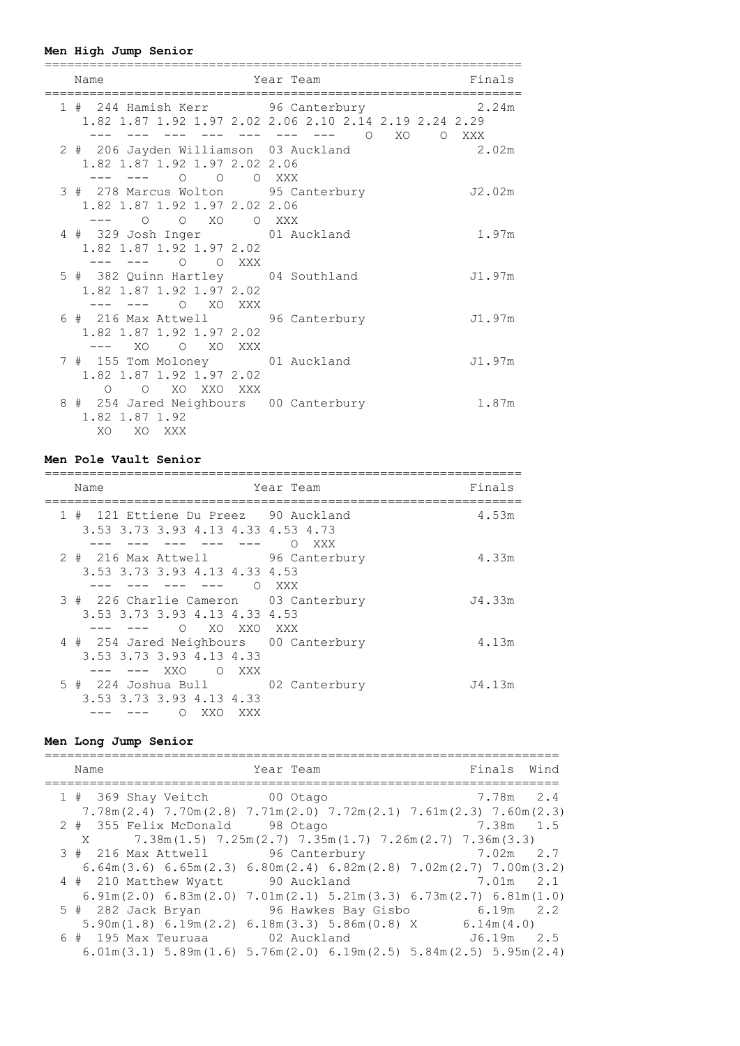# **Men High Jump Senior**

| Name                                                                                      | Year Team                                                                                | Finals |
|-------------------------------------------------------------------------------------------|------------------------------------------------------------------------------------------|--------|
| 1 # 244 Hamish Kerr 96 Canterbury 1 2.24m                                                 | 1.82 1.87 1.92 1.97 2.02 2.06 2.10 2.14 2.19 2.24 2.29<br>--- --- --- --- --- 0 X0 0 XXX |        |
| 2 # 206 Jayden Williamson 03 Auckland<br>1.82 1.87 1.92 1.97 2.02 2.06<br>--- 0 0 0 XXX   | 2.02m                                                                                    |        |
| 3 # 278 Marcus Wolton 95 Canterbury<br>1.82 1.87 1.92 1.97 2.02 2.06<br>--- 0 0 XO 0 XXX  |                                                                                          | J2.02m |
| 4 # 329 Josh Inger 01 Auckland<br>1.82 1.87 1.92 1.97 2.02<br>O OXXX<br>--- ---           |                                                                                          | 1.97m  |
| 5 # 382 Quinn Hartley 04 Southland<br>1.82 1.87 1.92 1.97 2.02                            |                                                                                          | J1.97m |
| 6 # 216 Max Attwell 96 Canterbury<br>1.82 1.87 1.92 1.97 2.02<br>--- xo o xo xxx          |                                                                                          | J1.97m |
| 7 # 155 Tom Moloney 01 Auckland<br>1.82 1.87 1.92 1.97 2.02<br>O XO XXO XXX<br>$\bigcirc$ |                                                                                          | J1.97m |
| 8 # 254 Jared Neighbours 00 Canterbury<br>1.82 1.87 1.92<br>XO XO XXX                     |                                                                                          | 1.87m  |

# **Men Pole Vault Senior**

| Name                                                                                                 | Year Team     | Finals |
|------------------------------------------------------------------------------------------------------|---------------|--------|
| 1 # 121 Ettiene Du Preez 90 Auckland<br>3.53 3.73 3.93 4.13 4.33 4.53 4.73                           | XXX           | 4.53m  |
| 2 # 216 Max Attwell 96 Canterbury<br>3.53 3.73 3.93 4.13 4.33 4.53                                   | XXX X         | 4.33m  |
| 3 # 226 Charlie Cameron 03 Canterbury<br>3.53 3.73 3.93 4.13 4.33 4.53<br>O XO XXO XXX               |               | J4.33m |
| 4 # 254 Jared Neighbours 00 Canterbury<br>3.53 3.73 3.93 4.13 4.33<br>XXO<br>$\overline{O}$<br>XXX X |               | 4.13m  |
| 3.53 3.73 3.93 4.13 4.33<br>XXO<br>Ω<br>XXX                                                          | 02 Canterbury | J4.13m |

# **Men Long Jump Senior**

|  | Name                                                                                                                                     | Year Team |                               |              | Finals Wind |  |
|--|------------------------------------------------------------------------------------------------------------------------------------------|-----------|-------------------------------|--------------|-------------|--|
|  | 1 # 369 Shay Veitch 00 Otago                                                                                                             |           |                               | 7.78m 2.4    |             |  |
|  | $7.78$ m $(2.4)$ $7.70$ m $(2.8)$ $7.71$ m $(2.0)$ $7.72$ m $(2.1)$ $7.61$ m $(2.3)$ $7.60$ m $(2.3)$<br>2 # 355 Felix McDonald 98 Otago |           |                               | 7.38m 1.5    |             |  |
|  | X 7.38m (1.5) 7.25m (2.7) 7.35m (1.7) 7.26m (2.7) 7.36m (3.3)                                                                            |           |                               |              |             |  |
|  | 3 # 216 Max Attwell 96 Canterbury 1.02m 2.7                                                                                              |           |                               |              |             |  |
|  | $6.64$ m $(3.6)$ $6.65$ m $(2.3)$ $6.80$ m $(2.4)$ $6.82$ m $(2.8)$ $7.02$ m $(2.7)$ $7.00$ m $(3.2)$                                    |           |                               |              |             |  |
|  | 4 # 210 Matthew Wyatt 90 Auckland 5.01m 2.1                                                                                              |           |                               |              |             |  |
|  | $6.91\text{m}$ (2.0) $6.83\text{m}$ (2.0) $7.01\text{m}$ (2.1) $5.21\text{m}$ (3.3) $6.73\text{m}$ (2.7) $6.81\text{m}$ (1.0)            |           |                               |              |             |  |
|  | 5 # 282 Jack Bryan                                                                                                                       |           | 96 Hawkes Bay Gisbo 6.19m 2.2 |              |             |  |
|  | $5.90$ m(1.8) 6.19m(2.2) 6.18m(3.3) 5.86m(0.8) X 6.14m(4.0)                                                                              |           |                               |              |             |  |
|  | 6 # 195 Max Teuruaa 6 02 Auckland                                                                                                        |           |                               | $J6.19m$ 2.5 |             |  |
|  | $6.01\text{m}(3.1)$ $5.89\text{m}(1.6)$ $5.76\text{m}(2.0)$ $6.19\text{m}(2.5)$ $5.84\text{m}(2.5)$ $5.95\text{m}(2.4)$                  |           |                               |              |             |  |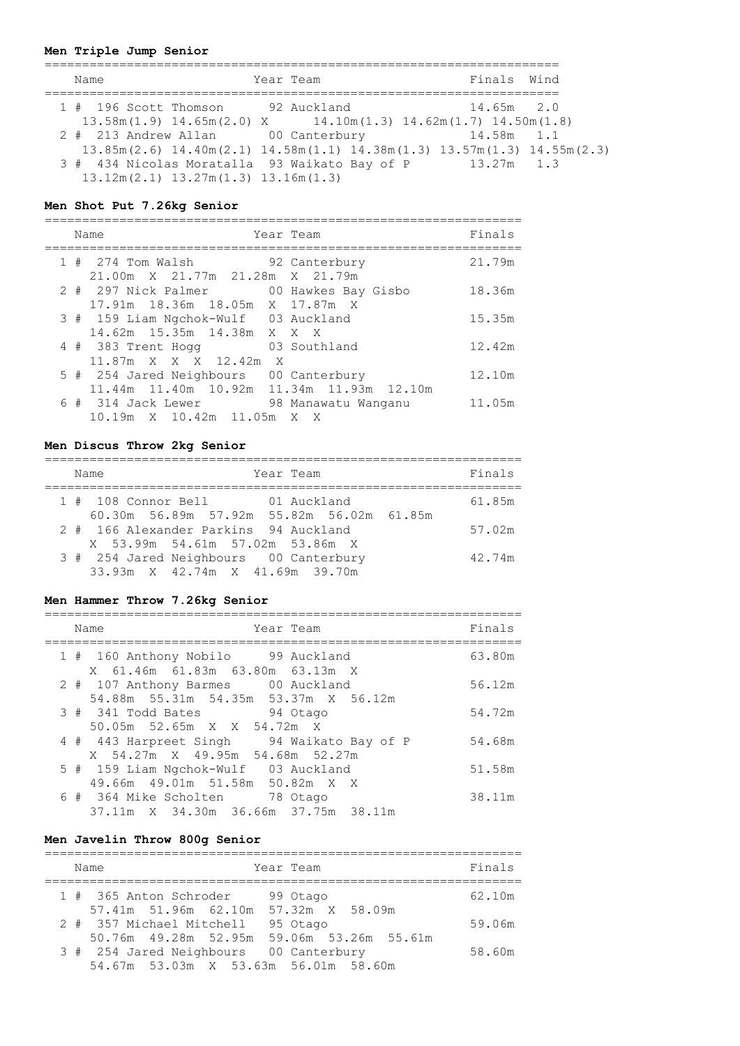# **Men Triple Jump Senior**

| Name                                                                                        | Year Team |  | Finals Wind  |  |
|---------------------------------------------------------------------------------------------|-----------|--|--------------|--|
| 1 # 196 Scott Thomson 92 Auckland                                                           |           |  | $14.65m$ 2.0 |  |
| $13.58$ m $(1.9)$ $14.65$ m $(2.0)$ X $14.10$ m $(1.3)$ $14.62$ m $(1.7)$ $14.50$ m $(1.8)$ |           |  |              |  |
| 2 # 213 Andrew Allan 00 Canterbury                                                          |           |  | 14.58m 1.1   |  |
| $13.85m(2.6)$ $14.40m(2.1)$ $14.58m(1.1)$ $14.38m(1.3)$ $13.57m(1.3)$ $14.55m(2.3)$         |           |  |              |  |
| 3 # 434 Nicolas Moratalla 93 Waikato Bay of P<br>$13.12m(2.1)$ $13.27m(1.3)$ $13.16m(1.3)$  |           |  | 13.27m 1.3   |  |

# **Men Shot Put 7.26kg Senior**

|  | Name                                                                                     | Year Team                 | Finals |
|--|------------------------------------------------------------------------------------------|---------------------------|--------|
|  | 1 # 274 Tom Walsh<br>21.00m X 21.77m 21.28m X 21.79m                                     | 92 Canterbury             | 21.79m |
|  | 2 # 297 Nick Palmer<br>17.91m 18.36m 18.05m X 17.87m X                                   | 00 Hawkes Bay Gisbo       | 18.36m |
|  | 3 # 159 Liam Ngchok-Wulf 03 Auckland<br>14.62m 15.35m 14.38m X X X                       |                           | 15.35m |
|  | 4 # 383 Trent Hogg<br>11.87m X X X 12.42m<br>X                                           | 03 Southland              | 12.42m |
|  | 5 # 254 Jared Neighbours 00 Canterbury<br>11.44m  11.40m  10.92m  11.34m  11.93m  12.10m |                           | 12.10m |
|  | 6 # 314 Jack Lewer<br>10.19m X 10.42m 11.05m                                             | 98 Manawatu Wanganu<br>XX | 11.05m |

# **Men Discus Throw 2kg Senior**

|  | Year Team<br>Name                                                            | Finals |
|--|------------------------------------------------------------------------------|--------|
|  | 1 # 108 Connor Bell 61 Auckland<br>60.30m 56.89m 57.92m 55.82m 56.02m 61.85m | 61.85m |
|  | 2 # 166 Alexander Parkins 94 Auckland<br>X 53.99m 54.61m 57.02m 53.86m X     | 57.02m |
|  | 3 # 254 Jared Neighbours 00 Canterbury<br>33.93m X 42.74m X 41.69m 39.70m    | 42.74m |

# **Men Hammer Throw 7.26kg Senior**

|  | Name<br>Year Team                                                             | Finals |
|--|-------------------------------------------------------------------------------|--------|
|  | 1 # 160 Anthony Nobilo 99 Auckland<br>X 61.46m 61.83m 63.80m 63.13m X         | 63.80m |
|  | 2 # 107 Anthony Barmes 00 Auckland<br>54.88m 55.31m 54.35m 53.37m X 56.12m    | 56.12m |
|  | 94 Otago<br>$3$ # $341$ Todd Bates<br>50.05m 52.65m X X 54.72m X              | 54.72m |
|  | 4 # 443 Harpreet Singh 94 Waikato Bay of P<br>X 54.27m X 49.95m 54.68m 52.27m | 54.68m |
|  | 5 # 159 Liam Ngchok-Wulf 03 Auckland<br>49.66m 49.01m 51.58m 50.82m X X       | 51.58m |
|  | 6 # 364 Mike Scholten 78 Otago<br>37.11m X 34.30m 36.66m 37.75m 38.11m        | 38.11m |

# **Men Javelin Throw 800g Senior**

|  | Name                                                                                     | Year Team | Finals |
|--|------------------------------------------------------------------------------------------|-----------|--------|
|  | 1 # 365 Anton Schroder<br>57.41m 51.96m 62.10m 57.32m X 58.09m                           | 99 Otago  | 62.10m |
|  | 2 # 357 Michael Mitchell 95 Otago                                                        |           | 59.06m |
|  | 50.76m  49.28m  52.95m  59.06m  53.26m  55.61m<br>3 # 254 Jared Neighbours 00 Canterbury |           | 58.60m |
|  | 54.67m 53.03m X 53.63m 56.01m 58.60m                                                     |           |        |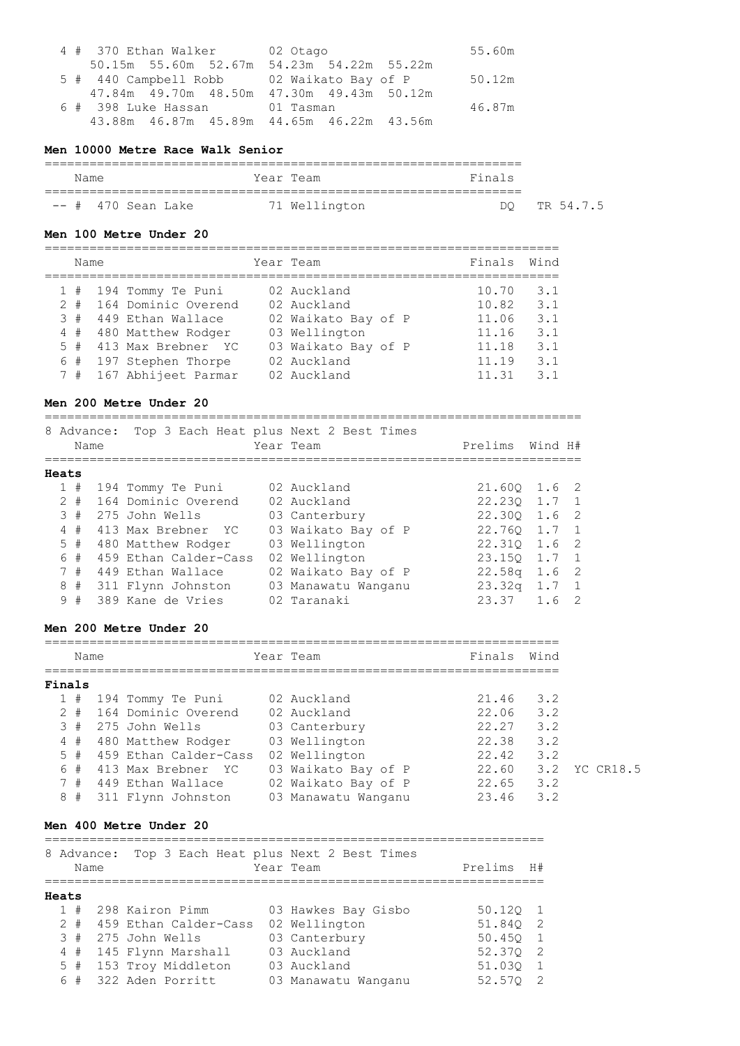|  |                                                | 4 # 370 Ethan Walker 02 Otago |  |  |  |  |        |
|--|------------------------------------------------|-------------------------------|--|--|--|--|--------|
|  | 50.15m 55.60m 52.67m 54.23m 54.22m 55.22m      |                               |  |  |  |  |        |
|  | 5 # 440 Campbell Robb 02 Waikato Bay of P      |                               |  |  |  |  | 50.12m |
|  | 47.84m  49.70m  48.50m  47.30m  49.43m  50.12m |                               |  |  |  |  |        |
|  | 6 # 398 Luke Hassan 01 Tasman                  |                               |  |  |  |  | 46.87m |
|  | 43.88m  46.87m  45.89m  44.65m  46.22m  43.56m |                               |  |  |  |  |        |

#### **Men 10000 Metre Race Walk Senior**

| Name               | Year Team     | Finals          |
|--------------------|---------------|-----------------|
|                    |               |                 |
| -- # 470 Sean Lake | 71 Wellington | TR 54.7.5<br>nг |

#### **Men 100 Metre Under 20**

| Name  |  |                       | Year Team           | Finals | Wind |
|-------|--|-----------------------|---------------------|--------|------|
|       |  | 1 # 194 Tommy Te Puni | 02 Auckland         | 10.70  | 3.1  |
| $2 +$ |  | 164 Dominic Overend   | 02 Auckland         | 10.82  | 3.1  |
| 3#    |  | 449 Ethan Wallace     | 02 Waikato Bay of P | 11.06  | 3.1  |
| 4#    |  | 480 Matthew Rodger    | 03 Wellington       | 11.16  | 3.1  |
| 5#    |  | 413 Max Brebner YC    | 03 Waikato Bay of P | 11.18  | 3.1  |
| 6#    |  | 197 Stephen Thorpe    | 02 Auckland         | 11.19  | 3.1  |
| 7#    |  | 167 Abhijeet Parmar   | 02 Auckland         | 11.31  | 3.1  |

# **Men 200 Metre Under 20**

|       |    | 8 Advance:<br>Name |  | Top 3 Each Heat plus Next 2 Best Times<br>Year Team | Prelims             | Wind H#          |       |                |
|-------|----|--------------------|--|-----------------------------------------------------|---------------------|------------------|-------|----------------|
| Heats |    |                    |  |                                                     |                     |                  |       |                |
|       |    | 1#                 |  | 194 Tommy Te Puni                                   | 02 Auckland         | $21.60Q$ $1.6$ 2 |       |                |
|       |    | $2 +$              |  | 164 Dominic Overend                                 | 02 Auckland         | 22.230 1.7 1     |       |                |
|       | 3# |                    |  | 275 John Wells                                      | 03 Canterbury       | 22.300           | 1.6   | $\overline{2}$ |
|       |    | 4#                 |  | 413 Max Brebner YC                                  | 03 Waikato Bay of P | 22.760           | 1.7 1 |                |
|       |    | 5#                 |  | 480 Matthew Rodger                                  | 03 Wellington       | 22.310 1.6       |       | - 2            |
|       |    | 6#                 |  | 459 Ethan Calder-Cass                               | 02 Wellington       | 23.150           | 1.7   |                |
|       |    | 7#                 |  | 449 Ethan Wallace                                   | 02 Waikato Bay of P | 22.58a           | 1.6   | $\overline{2}$ |
|       |    | 8#                 |  | 311 Flynn Johnston                                  | 03 Manawatu Wanganu | 23.32q           | 1.7   |                |
|       |    | 9#                 |  | 389 Kane de Vries                                   | 02 Taranaki         | 23.37            | 1.6   |                |

### **Men 200 Metre Under 20**

|        | Name  |  |                         |  | Year Team           | Finals | Wind |               |
|--------|-------|--|-------------------------|--|---------------------|--------|------|---------------|
| Finals |       |  |                         |  |                     |        |      |               |
|        |       |  | $1$ # 194 Tommy Te Puni |  | 02 Auckland         | 21.46  | 3.2  |               |
|        | $2 +$ |  | 164 Dominic Overend     |  | 02 Auckland         | 22.06  | 3.2  |               |
|        | 3#    |  | 275 John Wells          |  | 03 Canterbury       | 22.27  | 3.2  |               |
|        | 4#    |  | 480 Matthew Rodger      |  | 03 Wellington       | 22.38  | 3.2  |               |
|        | $5 +$ |  | 459 Ethan Calder-Cass   |  | 02 Wellington       | 22.42  | 3.2  |               |
|        | 6#    |  | 413 Max Brebner YC      |  | 03 Waikato Bay of P | 22.60  |      | 3.2 YC CR18.5 |
|        | 7#    |  | 449 Ethan Wallace       |  | 02 Waikato Bay of P | 22.65  | 3.2  |               |
|        | 8#    |  | 311 Flynn Johnston      |  | 03 Manawatu Wanganu | 23.46  | 3.2  |               |

#### **Men 400 Metre Under 20**

===================================================================

|       | Name | 8 Advance: |                         | Top 3 Each Heat plus Next 2 Best Times<br>Year Team | Prelims | H#  |
|-------|------|------------|-------------------------|-----------------------------------------------------|---------|-----|
| Heats |      |            |                         |                                                     |         |     |
|       |      |            | 1 # 298 Kairon Pimm     | 03 Hawkes Bay Gisbo                                 | 50.120  |     |
| 2     |      |            | # 459 Ethan Calder-Cass | 02 Wellington                                       | 51.840  | - 2 |
|       |      |            | $3#275$ John Wells      | 03 Canterbury                                       | 50.450  |     |
|       |      |            | 4 # 145 Flynn Marshall  | 03 Auckland                                         | 52.370  | - 2 |
|       |      |            | 5 # 153 Troy Middleton  | 03 Auckland                                         | 51.030  |     |
|       | 6#   |            | 322 Aden Porritt        | 03 Manawatu Wanganu                                 | 52.570  |     |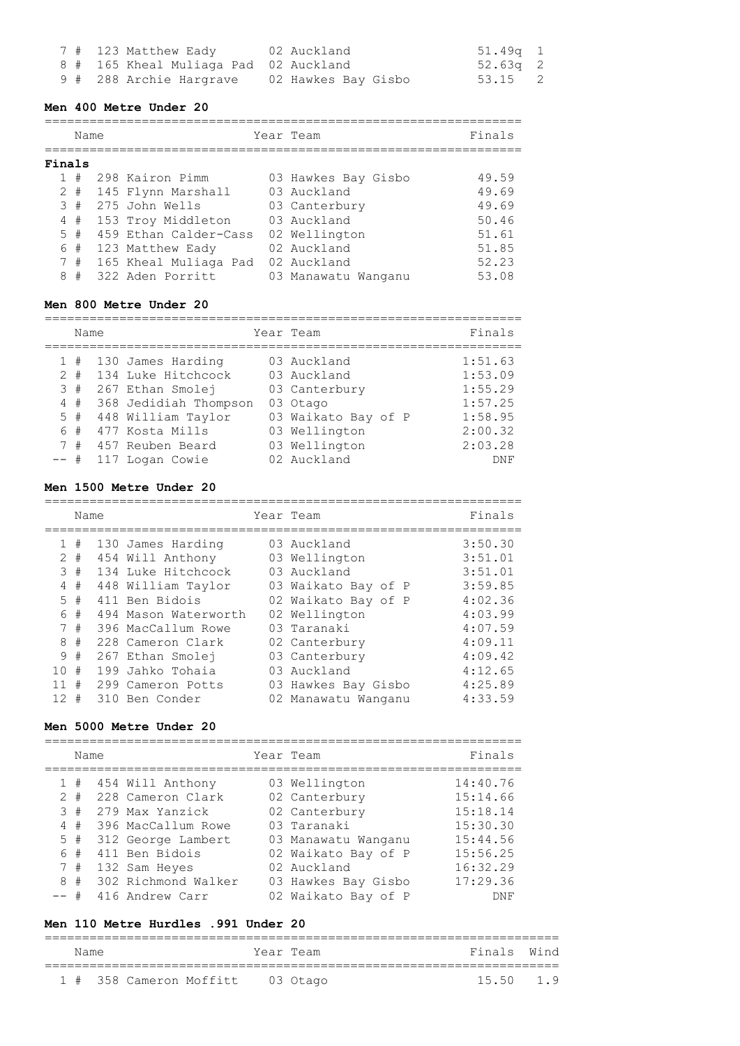|  | 7 # 123 Matthew Eady                  | 02 Auckland         | 51 <b>.</b> 49a 1 |  |
|--|---------------------------------------|---------------------|-------------------|--|
|  | 8 # 165 Kheal Muliaga Pad 02 Auckland |                     | 52 <b>.</b> 63a 2 |  |
|  | 9 # 288 Archie Hargrave               | 02 Hawkes Bay Gisbo | 53.15 2           |  |

### **Men 400 Metre Under 20**

|        | Name  |                       | Year Team           | Finals |
|--------|-------|-----------------------|---------------------|--------|
| Finals |       |                       |                     |        |
|        | #     | 298 Kairon Pimm       | 03 Hawkes Bay Gisbo | 49.59  |
|        | $2 +$ | 145 Flynn Marshall    | 03 Auckland         | 49.69  |
| 3      | #     | 275 John Wells        | 03 Canterbury       | 49.69  |
|        | 4#    | 153 Troy Middleton    | 03 Auckland         | 50.46  |
|        | $5 +$ | 459 Ethan Calder-Cass | 02 Wellington       | 51.61  |
|        | 6 #   | 123 Matthew Eady      | 02 Auckland         | 51.85  |
|        | 7#    | 165 Kheal Muliaga Pad | 02 Auckland         | 52.23  |
| 8      | #     | 322 Aden Porritt      | 03 Manawatu Wanganu | 53.08  |

## **Men 800 Metre Under 20**

================================================================

|        | Name  |                       | Year Team           | Finals  |
|--------|-------|-----------------------|---------------------|---------|
|        | 1#    | 130 James Harding     | 03 Auckland         | 1:51.63 |
|        | $2 +$ | 134 Luke Hitchcock    | 03 Auckland         | 1:53.09 |
|        | 3#    | 267 Ethan Smolej      | 03 Canterbury       | 1:55.29 |
|        | 4#    | 368 Jedidiah Thompson | 03 Otago            | 1:57.25 |
|        | $5$ # | 448 William Taylor    | 03 Waikato Bay of P | 1:58.95 |
|        | 6 #   | 477 Kosta Mills       | 03 Wellington       | 2:00.32 |
|        | 7#    | 457 Reuben Beard      | 03 Wellington       | 2:03.28 |
| $--$ # |       | 117 Logan Cowie       | 02 Auckland         | DNF     |

## **Men 1500 Metre Under 20**

|              | Name |                      | Year Team           | Finals  |
|--------------|------|----------------------|---------------------|---------|
| $\mathbf{1}$ | #    | 130 James Harding    | 03 Auckland         | 3:50.30 |
| 2            | #    | 454 Will Anthony     | 03 Wellington       | 3:51.01 |
| 3            | #    | 134 Luke Hitchcock   | 03 Auckland         | 3:51.01 |
| 4            | #    | 448 William Taylor   | 03 Waikato Bay of P | 3:59.85 |
| .5           | #    | 411 Ben Bidois       | 02 Waikato Bay of P | 4:02.36 |
| 6            | #    | 494 Mason Waterworth | 02 Wellington       | 4:03.99 |
| 7            | #    | 396 MacCallum Rowe   | 03 Taranaki         | 4:07.59 |
| 8            | #    | 228 Cameron Clark    | 02 Canterbury       | 4:09.11 |
| 9            | #    | 267 Ethan Smolej     | 03 Canterbury       | 4:09.42 |
| 10           | #    | 199 Jahko Tohaia     | 03 Auckland         | 4:12.65 |
|              | #    | 299 Cameron Potts    | 03 Hawkes Bay Gisbo | 4:25.89 |
| 12           | #    | 310 Ben Conder       | 02 Manawatu Wanganu | 4:33.59 |

# **Men 5000 Metre Under 20**

|                  | Name                           |                                                                                                                        | Year Team                                                                                                    | Finals                                                               |
|------------------|--------------------------------|------------------------------------------------------------------------------------------------------------------------|--------------------------------------------------------------------------------------------------------------|----------------------------------------------------------------------|
| $2^{\circ}$<br>6 | 1#<br>#<br>3#<br>4#<br>5#<br># | 454 Will Anthony<br>228 Cameron Clark<br>279 Max Yanzick<br>396 MacCallum Rowe<br>312 George Lambert<br>411 Ben Bidois | 03 Wellington<br>02 Canterbury<br>02 Canterbury<br>03 Taranaki<br>03 Manawatu Wanganu<br>02 Waikato Bay of P | 14:40.76<br>15:14.66<br>15:18.14<br>15:30.30<br>15:44.56<br>15:56.25 |
| 8                | 7#<br>#<br>#                   | 132 Sam Heyes<br>302 Richmond Walker<br>416 Andrew Carr                                                                | 02 Auckland<br>03 Hawkes Bay Gisbo<br>02 Waikato Bay of P                                                    | 16:32.29<br>17:29.36<br><b>DNF</b>                                   |

## **Men 110 Metre Hurdles .991 Under 20**

| Name |  |                                  | Year Team |  | Finals Wind |  |
|------|--|----------------------------------|-----------|--|-------------|--|
|      |  | 1 # 358 Cameron Moffitt 03 Otago |           |  | 15.50 1.9   |  |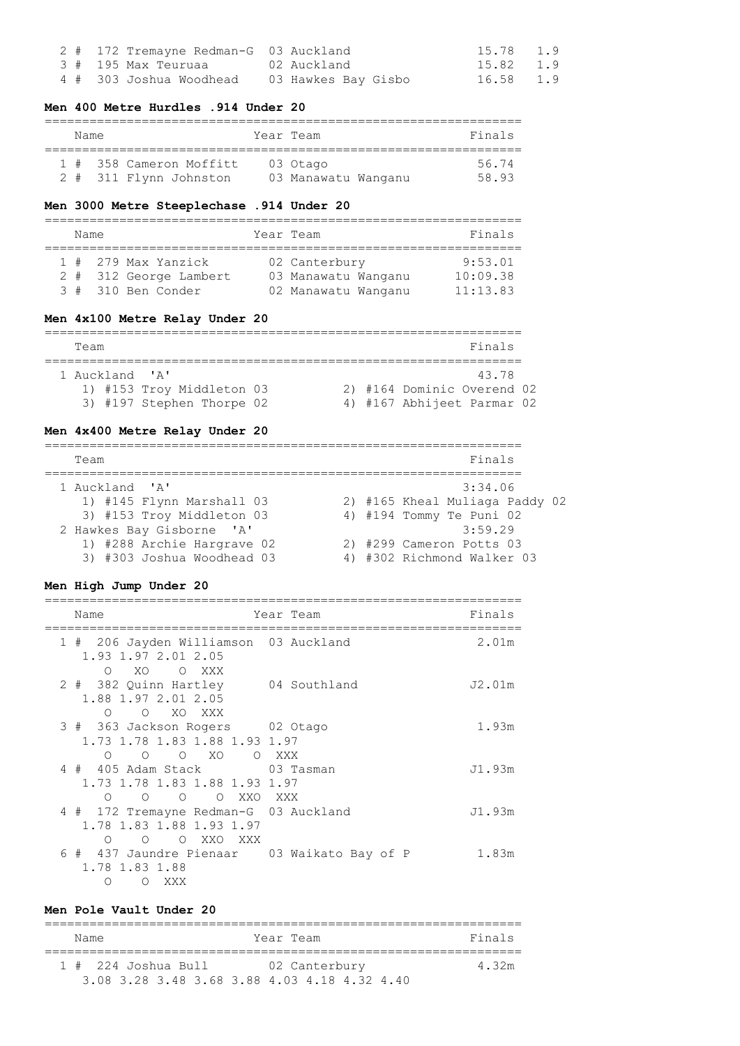|  | 2 # 172 Tremayne Redman-G 03 Auckland       | 15.78 1.9 |  |
|--|---------------------------------------------|-----------|--|
|  | 3 # 195 Max Teuruaa           02 Auckland   | 15.82 1.9 |  |
|  | 4 # 303 Joshua Woodhead 03 Hawkes Bay Gisbo | 16.58 1.9 |  |

## **Men 400 Metre Hurdles .914 Under 20**

| Name |                         | Year Team           | Finals |
|------|-------------------------|---------------------|--------|
|      | 1 # 358 Cameron Moffitt | 03 Otago            | 56 74  |
|      | 2 # 311 Flynn Johnston  | 03 Manawatu Wanganu | 58 93  |

# **Men 3000 Metre Steeplechase .914 Under 20**

| Name |                                                                     | Year Team |                                                             | Finals                          |
|------|---------------------------------------------------------------------|-----------|-------------------------------------------------------------|---------------------------------|
|      | 1 # 279 Max Yanzick<br>2 # 312 George Lambert<br>3 # 310 Ben Conder |           | 02 Canterbury<br>03 Manawatu Wanganu<br>02 Manawatu Wanganu | 9:53.01<br>10:09.38<br>11:13.83 |

# **Men 4x100 Metre Relay Under 20**

| Team |                |                           |  | Finals                     |  |
|------|----------------|---------------------------|--|----------------------------|--|
|      |                |                           |  |                            |  |
|      | 1 Auckland 'A' |                           |  | 43.78                      |  |
|      |                | 1) #153 Troy Middleton 03 |  | 2) #164 Dominic Overend 02 |  |
|      |                | 3) #197 Stephen Thorpe 02 |  | 4) #167 Abhijeet Parmar 02 |  |

# **Men 4x400 Metre Relay Under 20**

| Team                       | Finals                         |
|----------------------------|--------------------------------|
| 1 Auckland 'A'             | 3:34.06                        |
| 1) #145 Flynn Marshall 03  | 2) #165 Kheal Muliaga Paddy 02 |
| 3) #153 Troy Middleton 03  | 4) #194 Tommy Te Puni 02       |
| 2 Hawkes Bay Gisborne 'A'  | 3:59.29                        |
| 1) #288 Archie Hargrave 02 | 2) #299 Cameron Potts 03       |
| 3) #303 Joshua Woodhead 03 | 4) #302 Richmond Walker 03     |

## **Men High Jump Under 20**

| Name                                                                                                            | Year Team | Finals |
|-----------------------------------------------------------------------------------------------------------------|-----------|--------|
| 1 # 206 Jayden Williamson 03 Auckland<br>1.93 1.97 2.01 2.05<br>O XO<br>O XXX                                   |           | 2.01m  |
| 2 # 382 Quinn Hartley 04 Southland<br>1.88 1.97 2.01 2.05<br>O XO XXX<br>$\circ$                                |           | J2.01m |
| 3 # 363 Jackson Rogers 02 Otago<br>1.73 1.78 1.83 1.88 1.93 1.97<br>O XO<br>O XXX<br>$\Omega$<br>$\overline{O}$ |           | 1.93m  |
| 4 # 405 Adam Stack 03 Tasman<br>1.73 1.78 1.83 1.88 1.93 1.97<br>O O O XXO<br>$\Omega$                          | XXX X     | J1.93m |
| 4 # 172 Tremayne Redman-G 03 Auckland<br>1.78 1.83 1.88 1.93 1.97<br>O XXO<br>XXX<br>$\bigcirc$<br>$\Omega$     |           | J1.93m |
| 6 # 437 Jaundre Pienaar 03 Waikato Bay of P<br>1.78 1.83 1.88<br>$\circ$<br>XXX<br>∩                            |           | 1.83m  |

### **Men Pole Vault Under 20**

| Name                  | Year Team                                    | Finals |
|-----------------------|----------------------------------------------|--------|
| $1$ # 224 Joshua Bull | 02 Canterbury                                | 4.32m  |
|                       | 3.08.3.28.3.48.3.68.3.88.4.03.4.18.4.32.4.40 |        |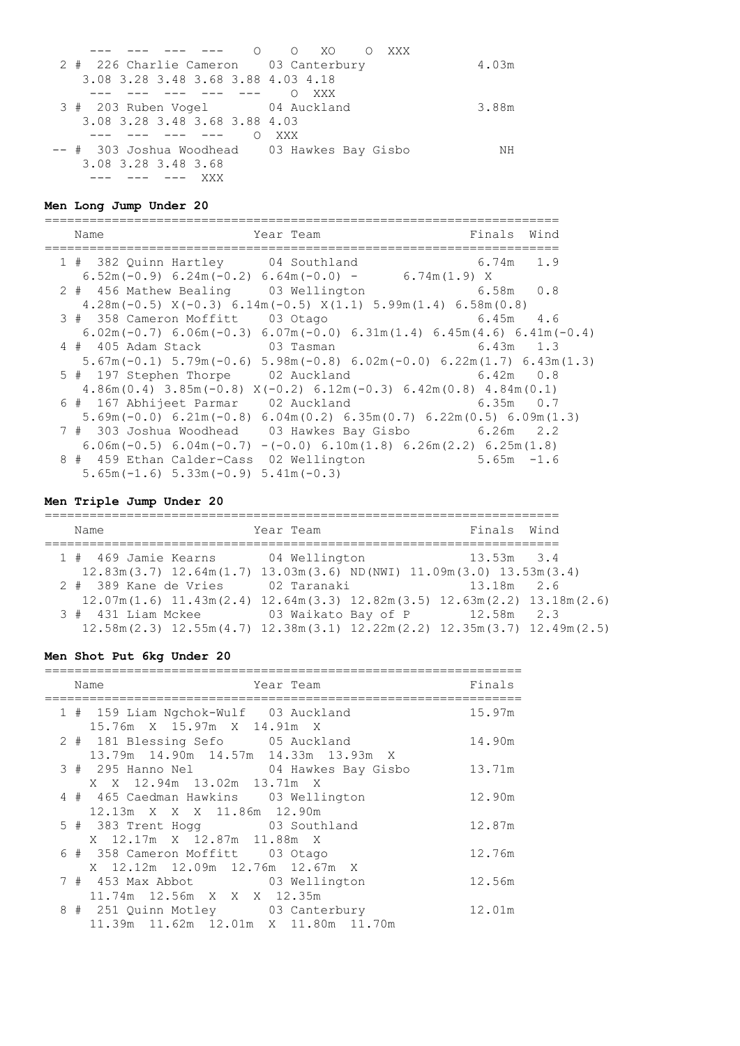|                                              | 0 0 XO 0 XXX |       |
|----------------------------------------------|--------------|-------|
| 2 # 226 Charlie Cameron 03 Canterbury        |              | 4.03m |
| 3.08 3.28 3.48 3.68 3.88 4.03 4.18           |              |       |
|                                              | XXX          |       |
| 3 # 203 Ruben Vogel 64 Auckland              |              | 3.88m |
| 3.08 3.28 3.48 3.68 3.88 4.03                |              |       |
|                                              | XXX          |       |
| -- # 303 Joshua Woodhead 03 Hawkes Bay Gisbo |              | NH    |
| 3.08 3.28 3.48 3.68                          |              |       |
| .__ ___                                      |              |       |

# **Men Long Jump Under 20**

| Name                                                                                                          | Year Team | Finals Wind   |  |
|---------------------------------------------------------------------------------------------------------------|-----------|---------------|--|
| 1 # 382 Quinn Hartley 04 Southland                                                                            |           | 6.74m 1.9     |  |
| $6.52m(-0.9)$ $6.24m(-0.2)$ $6.64m(-0.0)$ - $6.74m(1.9)$ X                                                    |           |               |  |
| 2 # 456 Mathew Bealing 03 Wellington 6.58m 0.8                                                                |           |               |  |
| $4.28m(-0.5)$ $X(-0.3)$ 6.14m $(-0.5)$ $X(1.1)$ 5.99m $(1.4)$ 6.58m $(0.8)$                                   |           |               |  |
| 3 # 358 Cameron Moffitt 03 Otago                                                                              |           | $6.45m$ $4.6$ |  |
| $6.02$ m(-0.7) $6.06$ m(-0.3) $6.07$ m(-0.0) $6.31$ m(1.4) $6.45$ m(4.6) $6.41$ m(-0.4)                       |           |               |  |
| 4 # 405 Adam Stack 03 Tasman 6.43m 1.3                                                                        |           |               |  |
| $5.67$ m $(-0.1)$ $5.79$ m $(-0.6)$ $5.98$ m $(-0.8)$ $6.02$ m $(-0.0)$ $6.22$ m $(1.7)$ $6.43$ m $(1.3)$     |           |               |  |
| 5 # 197 Stephen Thorpe 02 Auckland 6.42m 0.8                                                                  |           |               |  |
| $4.86m(0.4)$ 3.85m(-0.8) $X(-0.2)$ 6.12m(-0.3) 6.42m(0.8) 4.84m(0.1)                                          |           |               |  |
| 6 # 167 Abhijeet Parmar 02 Auckland 6.35m 0.7                                                                 |           |               |  |
| $5.69$ m( $-0.0$ ) $6.21$ m( $-0.8$ ) $6.04$ m( $0.2$ ) $6.35$ m( $0.7$ ) $6.22$ m( $0.5$ ) $6.09$ m( $1.3$ ) |           |               |  |
| 7 # 303 Joshua Woodhead 03 Hawkes Bay Gisbo 6.26m 2.2                                                         |           |               |  |
| $6.06m(-0.5)$ $6.04m(-0.7)$ $-(-0.0)$ $6.10m(1.8)$ $6.26m(2.2)$ $6.25m(1.8)$                                  |           |               |  |
| 8 # 459 Ethan Calder-Cass 02 Wellington                                                                       |           | $5.65m - 1.6$ |  |
| $5.65m(-1.6)$ $5.33m(-0.9)$ $5.41m(-0.3)$                                                                     |           |               |  |

# **Men Triple Jump Under 20**

| Name                                                                                                        | Year Team     | Finals Wind                    |  |
|-------------------------------------------------------------------------------------------------------------|---------------|--------------------------------|--|
| 1 # 469 Jamie Kearns                                                                                        | 04 Wellington | $13.53m$ $3.4$                 |  |
| $12.83m(3.7)$ $12.64m(1.7)$ $13.03m(3.6)$ ND (NWI) $11.09m(3.0)$ $13.53m(3.4)$                              |               |                                |  |
| 2 # 389 Kane de Vries                                                                                       | 02 Taranaki   | $13.18m$ 2.6                   |  |
| $12.07m(1.6)$ $11.43m(2.4)$ $12.64m(3.3)$ $12.82m(3.5)$ $12.63m(2.2)$ $13.18m(2.6)$                         |               |                                |  |
| 3 # 431 Liam Mckee                                                                                          |               | 03 Waikato Bay of P 12.58m 2.3 |  |
| $12.58$ m $(2.3)$ $12.55$ m $(4.7)$ $12.38$ m $(3.1)$ $12.22$ m $(2.2)$ $12.35$ m $(3.7)$ $12.49$ m $(2.5)$ |               |                                |  |

# **Men Shot Put 6kg Under 20**

|  | Name<br>Year Team                                                         | Finals |
|--|---------------------------------------------------------------------------|--------|
|  | 1 # 159 Liam Ngchok-Wulf 03 Auckland<br>15.76m X 15.97m X 14.91m X        | 15.97m |
|  | 2 # 181 Blessing Sefo 05 Auckland<br>13.79m 14.90m 14.57m 14.33m 13.93m X | 14.90m |
|  | 3 # 295 Hanno Nel 04 Hawkes Bay Gisbo                                     | 13.71m |
|  | X X 12.94m 13.02m 13.71m X                                                |        |
|  | 4 # 465 Caedman Hawkins 03 Wellington                                     | 12.90m |
|  | 12.13m X X X 11.86m 12.90m                                                |        |
|  | 5 # 383 Trent Hogg 03 Southland                                           | 12.87m |
|  | X 12.17m X 12.87m 11.88m X                                                |        |
|  | 6 # 358 Cameron Moffitt 03 Otago                                          | 12.76m |
|  | X 12.12m 12.09m 12.76m 12.67m X                                           |        |
|  | 7 # 453 Max Abbot 03 Wellington                                           | 12.56m |
|  | 11.74m 12.56m X X X 12.35m                                                |        |
|  | 8 # 251 Quinn Motley 03 Canterbury                                        | 12.01m |
|  | 11.39m  11.62m  12.01m  X  11.80m  11.70m                                 |        |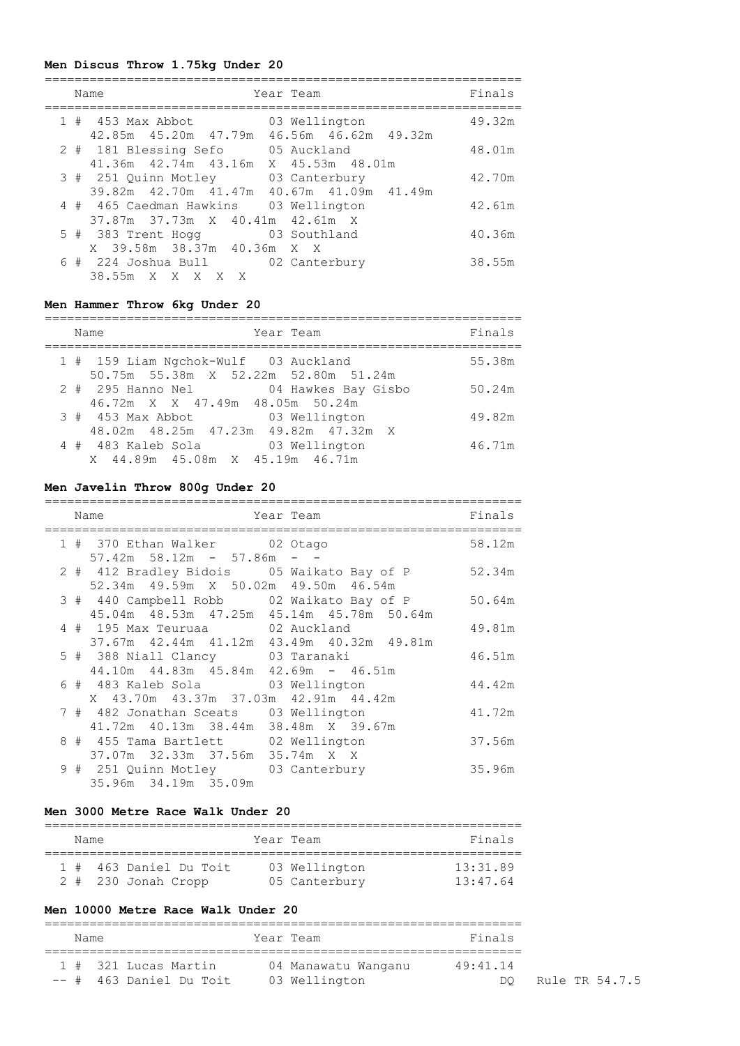## **Men Discus Throw 1.75kg Under 20**

|  | Name                                                                     | Year Team                      | Finals |
|--|--------------------------------------------------------------------------|--------------------------------|--------|
|  | $1$ # $453$ Max Abbot<br>42.85m  45.20m  47.79m  46.56m  46.62m  49.32m  | 03 Wellington                  | 49.32m |
|  | 2 # 181 Blessing Sefo<br>41.36m  42.74m  43.16m                          | 05 Auckland<br>X 45.53m 48.01m | 48.01m |
|  | 3 # 251 Ouinn Motley<br>39.82m 42.70m 41.47m 40.67m 41.09m 41.49m        | 03 Canterbury                  | 42.70m |
|  | 4 # 465 Caedman Hawkins 03 Wellington<br>37.87m 37.73m X 40.41m 42.61m X |                                | 42.61m |
|  | 5 # 383 Trent Hogg 63 Southland<br>X 39.58m 38.37m 40.36m X X            |                                | 40.36m |
|  | 6 # 224 Joshua Bull 02 Canterbury<br>38.55m X X X X X                    |                                | 38.55m |

## **Men Hammer Throw 6kg Under 20**

| Year Team<br>Name                                                            | Finals |
|------------------------------------------------------------------------------|--------|
| 1 # 159 Liam Ngchok-Wulf 03 Auckland<br>50.75m 55.38m X 52.22m 52.80m 51.24m | 55.38m |
| 2 # 295 Hanno Nel 04 Hawkes Bay Gisbo<br>46.72m X X 47.49m 48.05m 50.24m     | 50.24m |
| 3 # 453 Max Abbot 63 Wellington<br>48.02m  48.25m  47.23m  49.82m  47.32m  X | 49.82m |
| 4 # 483 Kaleb Sola<br>03 Wellington<br>X 44.89m 45.08m X 45.19m 46.71m       | 46.71m |

### **Men Javelin Throw 800g Under 20**

|  | Name                                                                                     | Year Team | Finals |
|--|------------------------------------------------------------------------------------------|-----------|--------|
|  | 1 # 370 Ethan Walker 02 Otago                                                            |           | 58.12m |
|  | $57.42m$ $58.12m$ - $57.86m$ - -<br>2 # 412 Bradley Bidois 05 Waikato Bay of P           |           | 52.34m |
|  | 52.34m 49.59m X 50.02m 49.50m 46.54m<br>3 # 440 Campbell Robb 02 Waikato Bay of P 50.64m |           |        |
|  | 45.04m 48.53m 47.25m 45.14m 45.78m 50.64m<br>4 # 195 Max Teuruaa 62 Auckland             |           | 49.81m |
|  | 37.67m 42.44m 41.12m 43.49m 40.32m 49.81m<br>5 # 388 Niall Clancy 03 Taranaki            |           | 46.51m |
|  | $44.10m$ $44.83m$ $45.84m$ $42.69m$ - $46.51m$<br>6 # 483 Kaleb Sola 63 Wellington       |           | 44.42m |
|  | X 43.70m 43.37m 37.03m 42.91m 44.42m<br>7 # 482 Jonathan Sceats 03 Wellington            |           | 41.72m |
|  | 41.72m  40.13m  38.44m  38.48m  X  39.67m<br>8 # 455 Tama Bartlett 02 Wellington         |           | 37.56m |
|  | 37.07m 32.33m 37.56m 35.74m X X<br>9 # 251 Quinn Motley 03 Canterbury                    |           | 35.96m |
|  | 35.96m 34.19m 35.09m                                                                     |           |        |

### **Men 3000 Metre Race Walk Under 20**

| Name |                        | Year Team     | Finals   |
|------|------------------------|---------------|----------|
|      | 1 # 463 Daniel Du Toit | 03 Wellington | 13:31.89 |
|      | $2$ # 230 Jonah Cropp  | 05 Canterbury | 13:47.64 |

## **Men 10000 Metre Race Walk Under 20**

# ================================================================ Name **South State Team** Team Team Team Pinals ================================================================ 1 # 321 Lucas Martin 04 Manawatu Wanganu 49:41.14 -- # 463 Daniel Du Toit 03 Wellington Communication DQ Rule TR 54.7.5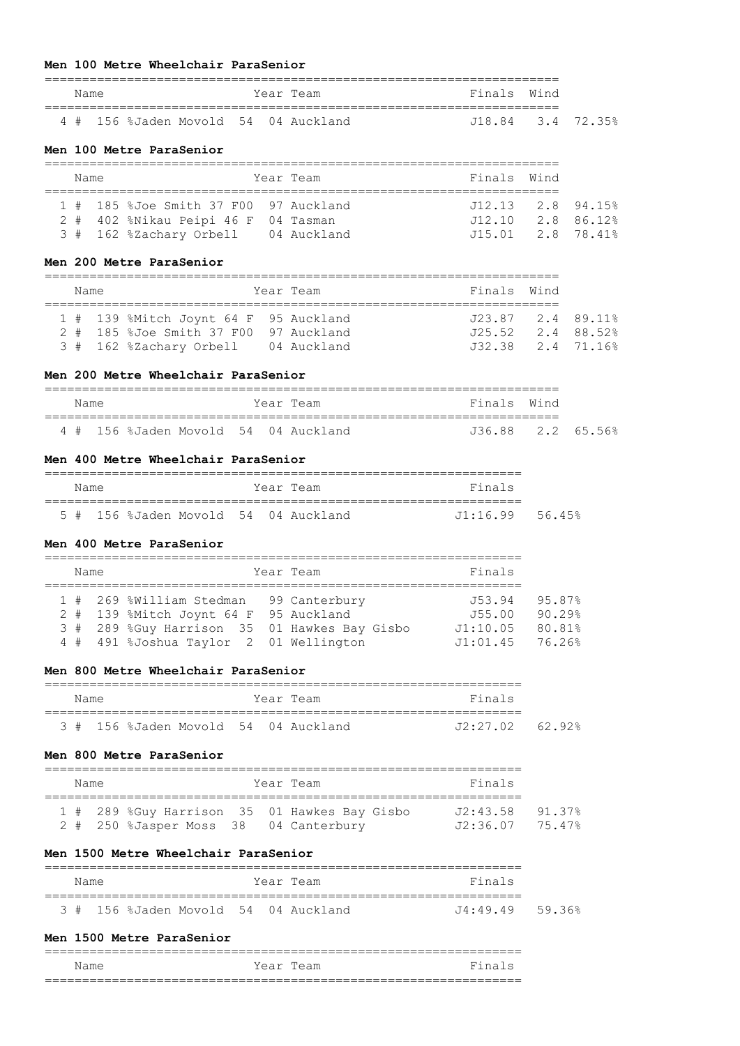#### **Men 100 Metre Wheelchair ParaSenior**

| Name |  |  | Year Team                            | Finals Wind       |  |
|------|--|--|--------------------------------------|-------------------|--|
|      |  |  | 4 # 156 %Jaden Movold 54 04 Auckland | J18.84 3.4 72.35% |  |

#### **Men 100 Metre ParaSenior**

| Name |  |  |                                       | Year Team | Finals Wind                         |  |
|------|--|--|---------------------------------------|-----------|-------------------------------------|--|
|      |  |  | 1 # 185 %Joe Smith 37 F00 97 Auckland |           | $J12.13$ $2.8$ $94.15$ <sup>2</sup> |  |
|      |  |  | 2 # 402 %Nikau Peipi 46 F 04 Tasman   |           | $J12.10$ $2.8$ $86.12$              |  |
|      |  |  | 3 # 162 %Zachary Orbell 04 Auckland   |           | $J15.01$ $2.8$ $78.41\%$            |  |

## **Men 200 Metre ParaSenior**

|  | Name |                                                                                | Year Team | Finals Wind                                   |  |
|--|------|--------------------------------------------------------------------------------|-----------|-----------------------------------------------|--|
|  |      | 1 # 139 %Mitch Joynt 64 F 95 Auckland<br>2 # 185 %Joe Smith 37 F00 97 Auckland |           | J23.87 2.4 89.11%<br>$J25.52 \t 2.4 \t 88.52$ |  |
|  |      | 3 # 162 %Zachary Orbell 04 Auckland                                            |           | J32.38 2.4 71.16%                             |  |

### **Men 200 Metre Wheelchair ParaSenior**

| Name |  |  | Year Team                            | Finals Wind       |  |
|------|--|--|--------------------------------------|-------------------|--|
|      |  |  | 4 # 156 %Jaden Movold 54 04 Auckland | J36.88 2.2 65.56% |  |

### **Men 400 Metre Wheelchair ParaSenior**

| Name |  |  |  |  |  | Year Team                            | Finals          |  |  |  |  |
|------|--|--|--|--|--|--------------------------------------|-----------------|--|--|--|--|
|      |  |  |  |  |  | 5 # 156 %Jaden Movold 54 04 Auckland | J1:16.99 56.45% |  |  |  |  |

#### **Men 400 Metre ParaSenior**

| Name |                                              | Year Team | Finals            |        |
|------|----------------------------------------------|-----------|-------------------|--------|
|      |                                              |           |                   |        |
|      | 1 # 269 %William Stedman 99 Canterbury       |           | J53.94            | 95.87% |
|      | 2 # 139 %Mitch Joynt 64 F 95 Auckland        |           | J55.00            | 90.29% |
|      | 3 # 289 %Guy Harrison 35 01 Hawkes Bay Gisbo |           | J1:10.05          | 80.81% |
|      | 4 # 491 %Joshua Taylor 2 01 Wellington       |           | $J1:01.45$ 76.26% |        |

### **Men 800 Metre Wheelchair ParaSenior**

| Name |  |  |  |  |  | Year Team                            | Finals          |  |  |  |
|------|--|--|--|--|--|--------------------------------------|-----------------|--|--|--|
|      |  |  |  |  |  | 3 # 156 %Jaden Movold 54 04 Auckland | J2:27.02 62.92% |  |  |  |

## **Men 800 Metre ParaSenior**

| Name |  |  | Year Team                                    | Finals            |  |
|------|--|--|----------------------------------------------|-------------------|--|
|      |  |  |                                              |                   |  |
|      |  |  | 1 # 289 %Guy Harrison 35 01 Hawkes Bay Gisbo | $J2:43.58$ 91.37% |  |
|      |  |  | 2 # 250 %Jasper Moss 38 04 Canterbury        | $J2:36.07$ 75.47% |  |

### **Men 1500 Metre Wheelchair ParaSenior**

| Name |  |  | Year Team                            | Finals          |  |
|------|--|--|--------------------------------------|-----------------|--|
|      |  |  |                                      |                 |  |
|      |  |  | 3 # 156 %Jaden Movold 54 04 Auckland | J4:49.49 59.36% |  |

### **Men 1500 Metre ParaSenior**

|                                    |           |  | $-$<br>______          |  |  |  |  |  |
|------------------------------------|-----------|--|------------------------|--|--|--|--|--|
| Name                               | Year Team |  | Fina<br>$\overline{ }$ |  |  |  |  |  |
| __<br>________________<br>__<br>__ |           |  |                        |  |  |  |  |  |